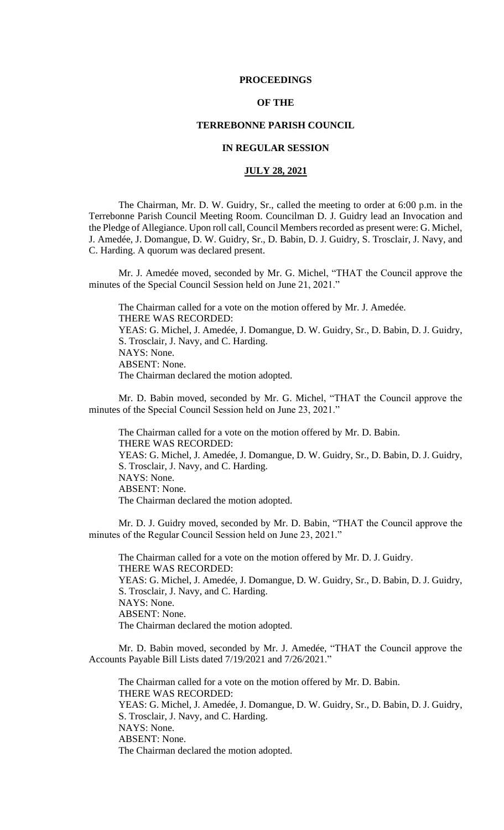#### **PROCEEDINGS**

## **OF THE**

# **TERREBONNE PARISH COUNCIL**

# **IN REGULAR SESSION**

# **JULY 28, 2021**

The Chairman, Mr. D. W. Guidry, Sr., called the meeting to order at 6:00 p.m. in the Terrebonne Parish Council Meeting Room. Councilman D. J. Guidry lead an Invocation and the Pledge of Allegiance. Upon roll call, Council Members recorded as present were: G. Michel, J. Amedée, J. Domangue, D. W. Guidry, Sr., D. Babin, D. J. Guidry, S. Trosclair, J. Navy, and C. Harding. A quorum was declared present.

Mr. J. Amedée moved, seconded by Mr. G. Michel, "THAT the Council approve the minutes of the Special Council Session held on June 21, 2021."

The Chairman called for a vote on the motion offered by Mr. J. Amedée. THERE WAS RECORDED: YEAS: G. Michel, J. Amedée, J. Domangue, D. W. Guidry, Sr., D. Babin, D. J. Guidry, S. Trosclair, J. Navy, and C. Harding. NAYS: None. ABSENT: None. The Chairman declared the motion adopted.

Mr. D. Babin moved, seconded by Mr. G. Michel, "THAT the Council approve the minutes of the Special Council Session held on June 23, 2021."

The Chairman called for a vote on the motion offered by Mr. D. Babin. THERE WAS RECORDED: YEAS: G. Michel, J. Amedée, J. Domangue, D. W. Guidry, Sr., D. Babin, D. J. Guidry, S. Trosclair, J. Navy, and C. Harding. NAYS: None. ABSENT: None. The Chairman declared the motion adopted.

Mr. D. J. Guidry moved, seconded by Mr. D. Babin, "THAT the Council approve the minutes of the Regular Council Session held on June 23, 2021."

The Chairman called for a vote on the motion offered by Mr. D. J. Guidry. THERE WAS RECORDED: YEAS: G. Michel, J. Amedée, J. Domangue, D. W. Guidry, Sr., D. Babin, D. J. Guidry, S. Trosclair, J. Navy, and C. Harding. NAYS: None. ABSENT: None. The Chairman declared the motion adopted.

Mr. D. Babin moved, seconded by Mr. J. Amedée, "THAT the Council approve the Accounts Payable Bill Lists dated 7/19/2021 and 7/26/2021."

The Chairman called for a vote on the motion offered by Mr. D. Babin. THERE WAS RECORDED: YEAS: G. Michel, J. Amedée, J. Domangue, D. W. Guidry, Sr., D. Babin, D. J. Guidry, S. Trosclair, J. Navy, and C. Harding. NAYS: None. ABSENT: None. The Chairman declared the motion adopted.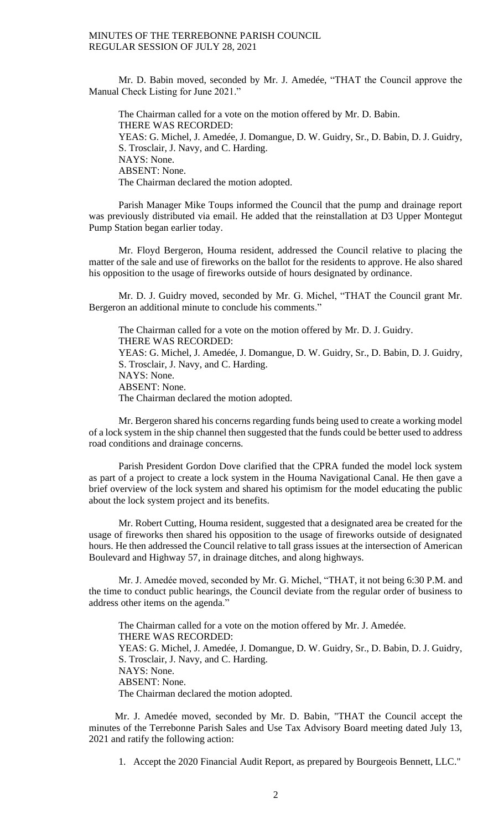Mr. D. Babin moved, seconded by Mr. J. Amedée, "THAT the Council approve the Manual Check Listing for June 2021."

The Chairman called for a vote on the motion offered by Mr. D. Babin. THERE WAS RECORDED: YEAS: G. Michel, J. Amedée, J. Domangue, D. W. Guidry, Sr., D. Babin, D. J. Guidry, S. Trosclair, J. Navy, and C. Harding. NAYS: None. ABSENT: None. The Chairman declared the motion adopted.

Parish Manager Mike Toups informed the Council that the pump and drainage report was previously distributed via email. He added that the reinstallation at D3 Upper Montegut Pump Station began earlier today.

Mr. Floyd Bergeron, Houma resident, addressed the Council relative to placing the matter of the sale and use of fireworks on the ballot for the residents to approve. He also shared his opposition to the usage of fireworks outside of hours designated by ordinance.

Mr. D. J. Guidry moved, seconded by Mr. G. Michel, "THAT the Council grant Mr. Bergeron an additional minute to conclude his comments."

The Chairman called for a vote on the motion offered by Mr. D. J. Guidry. THERE WAS RECORDED: YEAS: G. Michel, J. Amedée, J. Domangue, D. W. Guidry, Sr., D. Babin, D. J. Guidry, S. Trosclair, J. Navy, and C. Harding. NAYS: None. ABSENT: None. The Chairman declared the motion adopted.

Mr. Bergeron shared his concerns regarding funds being used to create a working model of a lock system in the ship channel then suggested that the funds could be better used to address road conditions and drainage concerns.

Parish President Gordon Dove clarified that the CPRA funded the model lock system as part of a project to create a lock system in the Houma Navigational Canal. He then gave a brief overview of the lock system and shared his optimism for the model educating the public about the lock system project and its benefits.

Mr. Robert Cutting, Houma resident, suggested that a designated area be created for the usage of fireworks then shared his opposition to the usage of fireworks outside of designated hours. He then addressed the Council relative to tall grass issues at the intersection of American Boulevard and Highway 57, in drainage ditches, and along highways.

Mr. J. Amedée moved, seconded by Mr. G. Michel, "THAT, it not being 6:30 P.M. and the time to conduct public hearings, the Council deviate from the regular order of business to address other items on the agenda."

The Chairman called for a vote on the motion offered by Mr. J. Amedée. THERE WAS RECORDED: YEAS: G. Michel, J. Amedée, J. Domangue, D. W. Guidry, Sr., D. Babin, D. J. Guidry, S. Trosclair, J. Navy, and C. Harding. NAYS: None. ABSENT: None. The Chairman declared the motion adopted.

Mr. J. Amedée moved, seconded by Mr. D. Babin, "THAT the Council accept the minutes of the Terrebonne Parish Sales and Use Tax Advisory Board meeting dated July 13, 2021 and ratify the following action:

1. Accept the 2020 Financial Audit Report, as prepared by Bourgeois Bennett, LLC."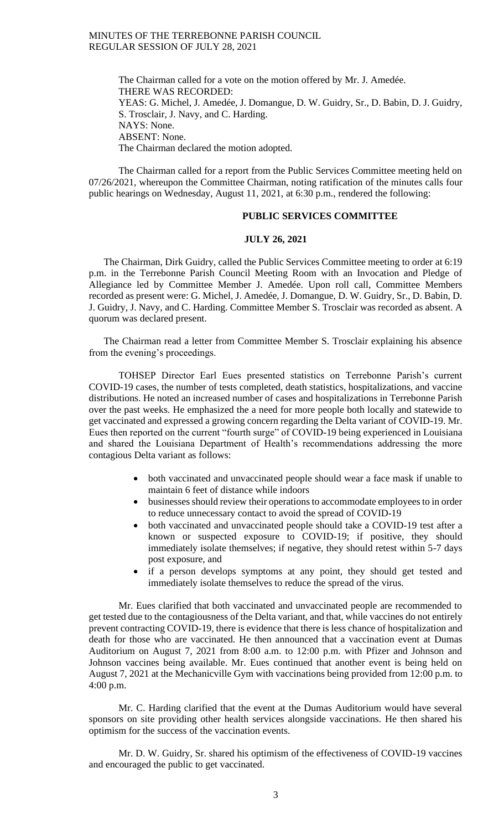The Chairman called for a vote on the motion offered by Mr. J. Amedée. THERE WAS RECORDED: YEAS: G. Michel, J. Amedée, J. Domangue, D. W. Guidry, Sr., D. Babin, D. J. Guidry, S. Trosclair, J. Navy, and C. Harding. NAYS: None. ABSENT: None. The Chairman declared the motion adopted.

The Chairman called for a report from the Public Services Committee meeting held on 07/26/2021, whereupon the Committee Chairman, noting ratification of the minutes calls four public hearings on Wednesday, August 11, 2021, at 6:30 p.m., rendered the following:

# **PUBLIC SERVICES COMMITTEE**

#### **JULY 26, 2021**

The Chairman, Dirk Guidry, called the Public Services Committee meeting to order at 6:19 p.m. in the Terrebonne Parish Council Meeting Room with an Invocation and Pledge of Allegiance led by Committee Member J. Amedée. Upon roll call, Committee Members recorded as present were: G. Michel, J. Amedée, J. Domangue, D. W. Guidry, Sr., D. Babin, D. J. Guidry, J. Navy, and C. Harding. Committee Member S. Trosclair was recorded as absent. A quorum was declared present.

The Chairman read a letter from Committee Member S. Trosclair explaining his absence from the evening's proceedings.

TOHSEP Director Earl Eues presented statistics on Terrebonne Parish's current COVID-19 cases, the number of tests completed, death statistics, hospitalizations, and vaccine distributions. He noted an increased number of cases and hospitalizations in Terrebonne Parish over the past weeks. He emphasized the a need for more people both locally and statewide to get vaccinated and expressed a growing concern regarding the Delta variant of COVID-19. Mr. Eues then reported on the current "fourth surge" of COVID-19 being experienced in Louisiana and shared the Louisiana Department of Health's recommendations addressing the more contagious Delta variant as follows:

- both vaccinated and unvaccinated people should wear a face mask if unable to maintain 6 feet of distance while indoors
- businesses should review their operations to accommodate employees to in order to reduce unnecessary contact to avoid the spread of COVID-19
- both vaccinated and unvaccinated people should take a COVID-19 test after a known or suspected exposure to COVID-19; if positive, they should immediately isolate themselves; if negative, they should retest within 5-7 days post exposure, and
- if a person develops symptoms at any point, they should get tested and immediately isolate themselves to reduce the spread of the virus.

Mr. Eues clarified that both vaccinated and unvaccinated people are recommended to get tested due to the contagiousness of the Delta variant, and that, while vaccines do not entirely prevent contracting COVID-19, there is evidence that there is less chance of hospitalization and death for those who are vaccinated. He then announced that a vaccination event at Dumas Auditorium on August 7, 2021 from 8:00 a.m. to 12:00 p.m. with Pfizer and Johnson and Johnson vaccines being available. Mr. Eues continued that another event is being held on August 7, 2021 at the Mechanicville Gym with vaccinations being provided from 12:00 p.m. to 4:00 p.m.

Mr. C. Harding clarified that the event at the Dumas Auditorium would have several sponsors on site providing other health services alongside vaccinations. He then shared his optimism for the success of the vaccination events.

Mr. D. W. Guidry, Sr. shared his optimism of the effectiveness of COVID-19 vaccines and encouraged the public to get vaccinated.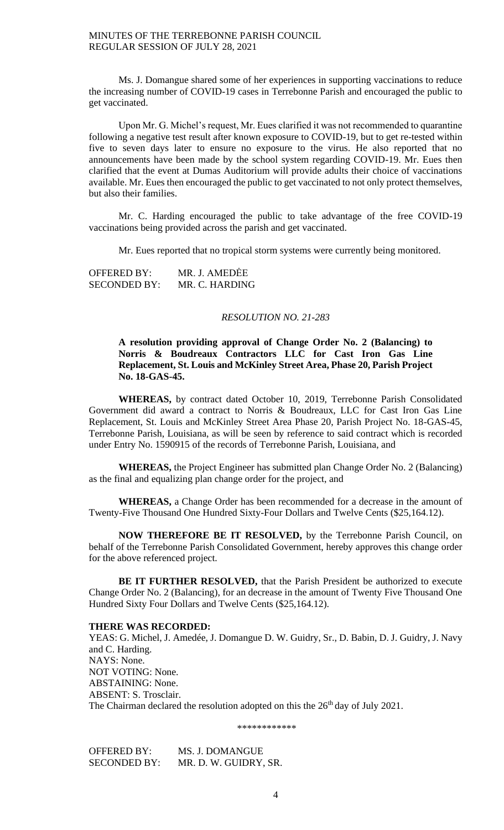Ms. J. Domangue shared some of her experiences in supporting vaccinations to reduce the increasing number of COVID-19 cases in Terrebonne Parish and encouraged the public to get vaccinated.

Upon Mr. G. Michel's request, Mr. Eues clarified it was not recommended to quarantine following a negative test result after known exposure to COVID-19, but to get re-tested within five to seven days later to ensure no exposure to the virus. He also reported that no announcements have been made by the school system regarding COVID-19. Mr. Eues then clarified that the event at Dumas Auditorium will provide adults their choice of vaccinations available. Mr. Eues then encouraged the public to get vaccinated to not only protect themselves, but also their families.

Mr. C. Harding encouraged the public to take advantage of the free COVID-19 vaccinations being provided across the parish and get vaccinated.

Mr. Eues reported that no tropical storm systems were currently being monitored.

OFFERED BY: MR. J. AMEDĖE SECONDED BY: MR. C. HARDING

# *RESOLUTION NO. 21-283*

**A resolution providing approval of Change Order No. 2 (Balancing) to Norris & Boudreaux Contractors LLC for Cast Iron Gas Line Replacement, St. Louis and McKinley Street Area, Phase 20, Parish Project No. 18-GAS-45.**

**WHEREAS,** by contract dated October 10, 2019, Terrebonne Parish Consolidated Government did award a contract to Norris & Boudreaux, LLC for Cast Iron Gas Line Replacement, St. Louis and McKinley Street Area Phase 20, Parish Project No. 18-GAS-45, Terrebonne Parish, Louisiana, as will be seen by reference to said contract which is recorded under Entry No. 1590915 of the records of Terrebonne Parish, Louisiana, and

**WHEREAS,** the Project Engineer has submitted plan Change Order No. 2 (Balancing) as the final and equalizing plan change order for the project, and

**WHEREAS,** a Change Order has been recommended for a decrease in the amount of Twenty-Five Thousand One Hundred Sixty-Four Dollars and Twelve Cents (\$25,164.12).

**NOW THEREFORE BE IT RESOLVED,** by the Terrebonne Parish Council, on behalf of the Terrebonne Parish Consolidated Government, hereby approves this change order for the above referenced project.

**BE IT FURTHER RESOLVED,** that the Parish President be authorized to execute Change Order No. 2 (Balancing), for an decrease in the amount of Twenty Five Thousand One Hundred Sixty Four Dollars and Twelve Cents (\$25,164.12).

#### **THERE WAS RECORDED:**

YEAS: G. Michel, J. Amedée, J. Domangue D. W. Guidry, Sr., D. Babin, D. J. Guidry, J. Navy and C. Harding. NAYS: None. NOT VOTING: None. ABSTAINING: None. ABSENT: S. Trosclair. The Chairman declared the resolution adopted on this the  $26<sup>th</sup>$  day of July 2021.

\*\*\*\*\*\*\*\*\*\*\*\*

| OFFERED BY:         | MS. J. DOMANGUE       |
|---------------------|-----------------------|
| <b>SECONDED BY:</b> | MR. D. W. GUIDRY, SR. |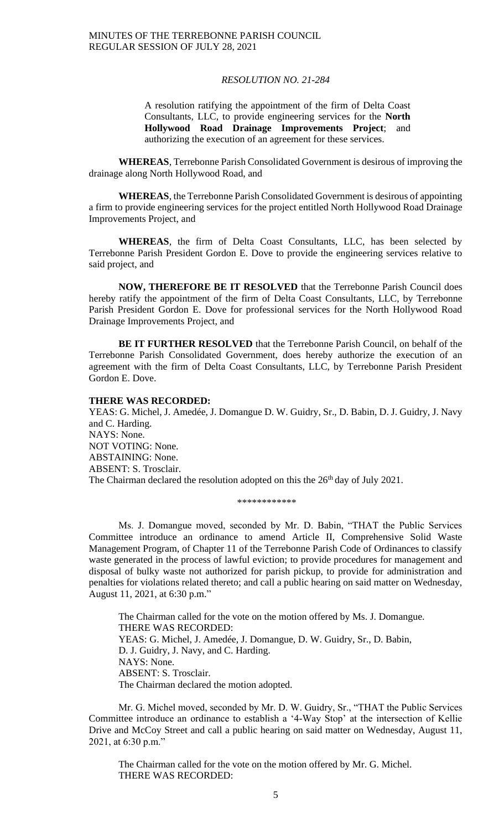#### *RESOLUTION NO. 21-284*

A resolution ratifying the appointment of the firm of Delta Coast Consultants, LLC, to provide engineering services for the **North Hollywood Road Drainage Improvements Project**; and authorizing the execution of an agreement for these services.

**WHEREAS**, Terrebonne Parish Consolidated Government is desirous of improving the drainage along North Hollywood Road, and

**WHEREAS**, the Terrebonne Parish Consolidated Government is desirous of appointing a firm to provide engineering services for the project entitled North Hollywood Road Drainage Improvements Project, and

**WHEREAS**, the firm of Delta Coast Consultants, LLC, has been selected by Terrebonne Parish President Gordon E. Dove to provide the engineering services relative to said project, and

**NOW, THEREFORE BE IT RESOLVED** that the Terrebonne Parish Council does hereby ratify the appointment of the firm of Delta Coast Consultants, LLC, by Terrebonne Parish President Gordon E. Dove for professional services for the North Hollywood Road Drainage Improvements Project, and

**BE IT FURTHER RESOLVED** that the Terrebonne Parish Council, on behalf of the Terrebonne Parish Consolidated Government, does hereby authorize the execution of an agreement with the firm of Delta Coast Consultants, LLC, by Terrebonne Parish President Gordon E. Dove.

## **THERE WAS RECORDED:**

YEAS: G. Michel, J. Amedée, J. Domangue D. W. Guidry, Sr., D. Babin, D. J. Guidry, J. Navy and C. Harding. NAYS: None. NOT VOTING: None. ABSTAINING: None. ABSENT: S. Trosclair. The Chairman declared the resolution adopted on this the 26<sup>th</sup> day of July 2021.

\*\*\*\*\*\*\*\*\*\*\*\*

Ms. J. Domangue moved, seconded by Mr. D. Babin, "THAT the Public Services Committee introduce an ordinance to amend Article II, Comprehensive Solid Waste Management Program, of Chapter 11 of the Terrebonne Parish Code of Ordinances to classify waste generated in the process of lawful eviction; to provide procedures for management and disposal of bulky waste not authorized for parish pickup, to provide for administration and penalties for violations related thereto; and call a public hearing on said matter on Wednesday, August 11, 2021, at 6:30 p.m."

The Chairman called for the vote on the motion offered by Ms. J. Domangue. THERE WAS RECORDED: YEAS: G. Michel, J. Amedée, J. Domangue, D. W. Guidry, Sr., D. Babin, D. J. Guidry, J. Navy, and C. Harding. NAYS: None. ABSENT: S. Trosclair. The Chairman declared the motion adopted.

Mr. G. Michel moved, seconded by Mr. D. W. Guidry, Sr., "THAT the Public Services Committee introduce an ordinance to establish a '4-Way Stop' at the intersection of Kellie Drive and McCoy Street and call a public hearing on said matter on Wednesday, August 11, 2021, at 6:30 p.m."

The Chairman called for the vote on the motion offered by Mr. G. Michel. THERE WAS RECORDED: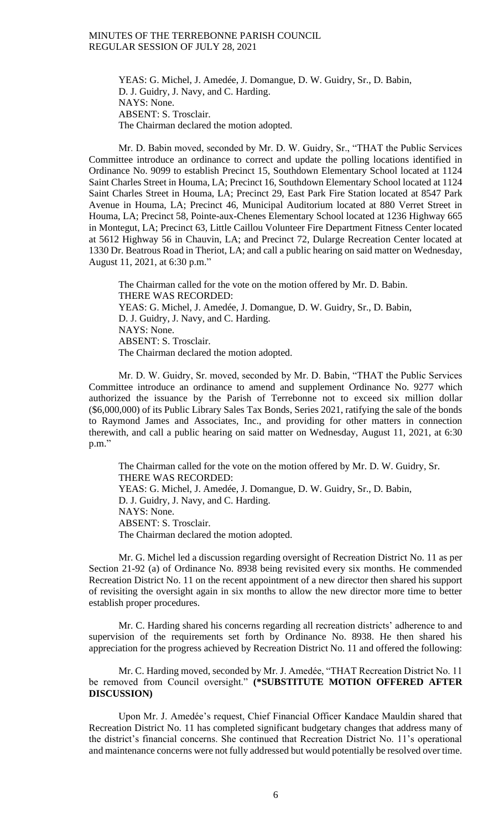YEAS: G. Michel, J. Amedée, J. Domangue, D. W. Guidry, Sr., D. Babin, D. J. Guidry, J. Navy, and C. Harding. NAYS: None. ABSENT: S. Trosclair. The Chairman declared the motion adopted.

Mr. D. Babin moved, seconded by Mr. D. W. Guidry, Sr., "THAT the Public Services Committee introduce an ordinance to correct and update the polling locations identified in Ordinance No. 9099 to establish Precinct 15, Southdown Elementary School located at 1124 Saint Charles Street in Houma, LA; Precinct 16, Southdown Elementary School located at 1124 Saint Charles Street in Houma, LA; Precinct 29, East Park Fire Station located at 8547 Park Avenue in Houma, LA; Precinct 46, Municipal Auditorium located at 880 Verret Street in Houma, LA; Precinct 58, Pointe-aux-Chenes Elementary School located at 1236 Highway 665 in Montegut, LA; Precinct 63, Little Caillou Volunteer Fire Department Fitness Center located at 5612 Highway 56 in Chauvin, LA; and Precinct 72, Dularge Recreation Center located at 1330 Dr. Beatrous Road in Theriot, LA; and call a public hearing on said matter on Wednesday, August 11, 2021, at 6:30 p.m."

The Chairman called for the vote on the motion offered by Mr. D. Babin. THERE WAS RECORDED: YEAS: G. Michel, J. Amedée, J. Domangue, D. W. Guidry, Sr., D. Babin, D. J. Guidry, J. Navy, and C. Harding. NAYS: None. ABSENT: S. Trosclair. The Chairman declared the motion adopted.

Mr. D. W. Guidry, Sr. moved, seconded by Mr. D. Babin, "THAT the Public Services Committee introduce an ordinance to amend and supplement Ordinance No. 9277 which authorized the issuance by the Parish of Terrebonne not to exceed six million dollar (\$6,000,000) of its Public Library Sales Tax Bonds, Series 2021, ratifying the sale of the bonds to Raymond James and Associates, Inc., and providing for other matters in connection therewith, and call a public hearing on said matter on Wednesday, August 11, 2021, at 6:30 p.m."

The Chairman called for the vote on the motion offered by Mr. D. W. Guidry, Sr. THERE WAS RECORDED: YEAS: G. Michel, J. Amedée, J. Domangue, D. W. Guidry, Sr., D. Babin, D. J. Guidry, J. Navy, and C. Harding. NAYS: None. ABSENT: S. Trosclair. The Chairman declared the motion adopted.

Mr. G. Michel led a discussion regarding oversight of Recreation District No. 11 as per Section 21-92 (a) of Ordinance No. 8938 being revisited every six months. He commended Recreation District No. 11 on the recent appointment of a new director then shared his support of revisiting the oversight again in six months to allow the new director more time to better establish proper procedures.

Mr. C. Harding shared his concerns regarding all recreation districts' adherence to and supervision of the requirements set forth by Ordinance No. 8938. He then shared his appreciation for the progress achieved by Recreation District No. 11 and offered the following:

Mr. C. Harding moved, seconded by Mr. J. Amedée, "THAT Recreation District No. 11 be removed from Council oversight." **(\*SUBSTITUTE MOTION OFFERED AFTER DISCUSSION)**

Upon Mr. J. Amedée's request, Chief Financial Officer Kandace Mauldin shared that Recreation District No. 11 has completed significant budgetary changes that address many of the district's financial concerns. She continued that Recreation District No. 11's operational and maintenance concerns were not fully addressed but would potentially be resolved over time.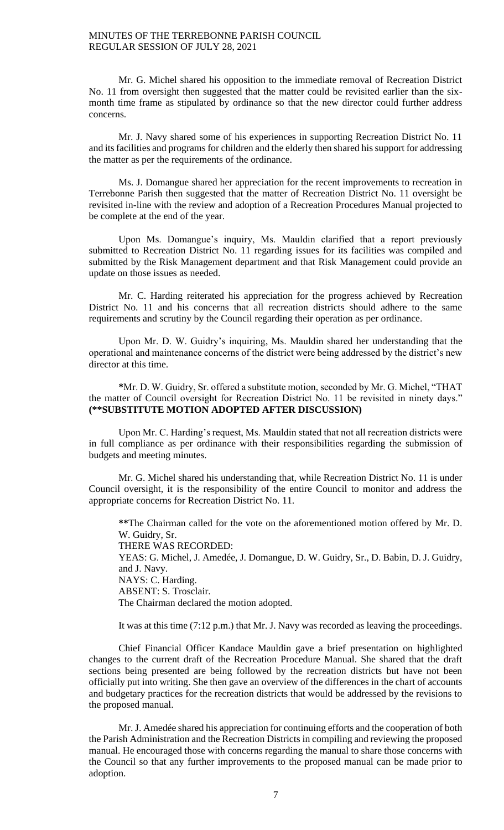Mr. G. Michel shared his opposition to the immediate removal of Recreation District No. 11 from oversight then suggested that the matter could be revisited earlier than the sixmonth time frame as stipulated by ordinance so that the new director could further address concerns.

Mr. J. Navy shared some of his experiences in supporting Recreation District No. 11 and its facilities and programs for children and the elderly then shared his support for addressing the matter as per the requirements of the ordinance.

Ms. J. Domangue shared her appreciation for the recent improvements to recreation in Terrebonne Parish then suggested that the matter of Recreation District No. 11 oversight be revisited in-line with the review and adoption of a Recreation Procedures Manual projected to be complete at the end of the year.

Upon Ms. Domangue's inquiry, Ms. Mauldin clarified that a report previously submitted to Recreation District No. 11 regarding issues for its facilities was compiled and submitted by the Risk Management department and that Risk Management could provide an update on those issues as needed.

Mr. C. Harding reiterated his appreciation for the progress achieved by Recreation District No. 11 and his concerns that all recreation districts should adhere to the same requirements and scrutiny by the Council regarding their operation as per ordinance.

Upon Mr. D. W. Guidry's inquiring, Ms. Mauldin shared her understanding that the operational and maintenance concerns of the district were being addressed by the district's new director at this time.

**\***Mr. D. W. Guidry, Sr. offered a substitute motion, seconded by Mr. G. Michel, "THAT the matter of Council oversight for Recreation District No. 11 be revisited in ninety days." **(\*\*SUBSTITUTE MOTION ADOPTED AFTER DISCUSSION)**

Upon Mr. C. Harding's request, Ms. Mauldin stated that not all recreation districts were in full compliance as per ordinance with their responsibilities regarding the submission of budgets and meeting minutes.

Mr. G. Michel shared his understanding that, while Recreation District No. 11 is under Council oversight, it is the responsibility of the entire Council to monitor and address the appropriate concerns for Recreation District No. 11.

**\*\***The Chairman called for the vote on the aforementioned motion offered by Mr. D. W. Guidry, Sr. THERE WAS RECORDED: YEAS: G. Michel, J. Amedée, J. Domangue, D. W. Guidry, Sr., D. Babin, D. J. Guidry, and J. Navy. NAYS: C. Harding. ABSENT: S. Trosclair. The Chairman declared the motion adopted.

It was at this time (7:12 p.m.) that Mr. J. Navy was recorded as leaving the proceedings.

Chief Financial Officer Kandace Mauldin gave a brief presentation on highlighted changes to the current draft of the Recreation Procedure Manual. She shared that the draft sections being presented are being followed by the recreation districts but have not been officially put into writing. She then gave an overview of the differences in the chart of accounts and budgetary practices for the recreation districts that would be addressed by the revisions to the proposed manual.

Mr. J. Amedée shared his appreciation for continuing efforts and the cooperation of both the Parish Administration and the Recreation Districts in compiling and reviewing the proposed manual. He encouraged those with concerns regarding the manual to share those concerns with the Council so that any further improvements to the proposed manual can be made prior to adoption.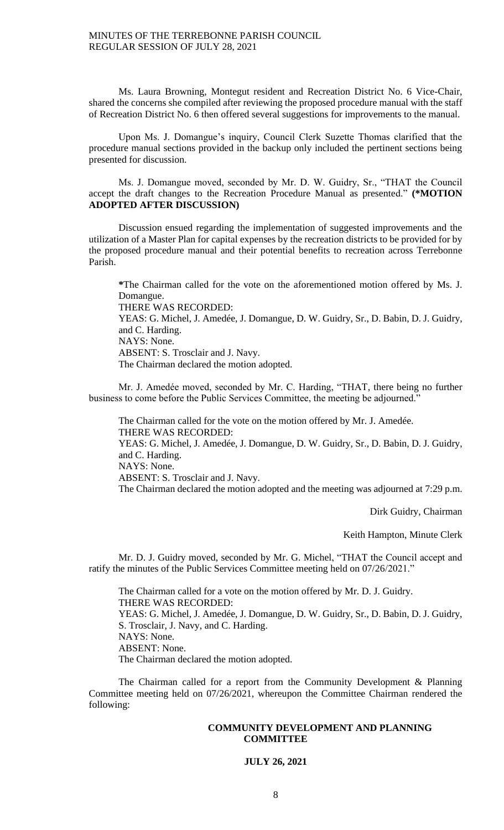Ms. Laura Browning, Montegut resident and Recreation District No. 6 Vice-Chair, shared the concerns she compiled after reviewing the proposed procedure manual with the staff of Recreation District No. 6 then offered several suggestions for improvements to the manual.

Upon Ms. J. Domangue's inquiry, Council Clerk Suzette Thomas clarified that the procedure manual sections provided in the backup only included the pertinent sections being presented for discussion.

Ms. J. Domangue moved, seconded by Mr. D. W. Guidry, Sr., "THAT the Council accept the draft changes to the Recreation Procedure Manual as presented." **(\*MOTION ADOPTED AFTER DISCUSSION)**

Discussion ensued regarding the implementation of suggested improvements and the utilization of a Master Plan for capital expenses by the recreation districts to be provided for by the proposed procedure manual and their potential benefits to recreation across Terrebonne Parish.

**\***The Chairman called for the vote on the aforementioned motion offered by Ms. J. Domangue. THERE WAS RECORDED: YEAS: G. Michel, J. Amedée, J. Domangue, D. W. Guidry, Sr., D. Babin, D. J. Guidry, and C. Harding. NAYS: None. ABSENT: S. Trosclair and J. Navy. The Chairman declared the motion adopted.

Mr. J. Amedée moved, seconded by Mr. C. Harding, "THAT, there being no further business to come before the Public Services Committee, the meeting be adjourned."

The Chairman called for the vote on the motion offered by Mr. J. Amedée. THERE WAS RECORDED: YEAS: G. Michel, J. Amedée, J. Domangue, D. W. Guidry, Sr., D. Babin, D. J. Guidry, and C. Harding. NAYS: None. ABSENT: S. Trosclair and J. Navy. The Chairman declared the motion adopted and the meeting was adjourned at 7:29 p.m.

Dirk Guidry, Chairman

Keith Hampton, Minute Clerk

Mr. D. J. Guidry moved, seconded by Mr. G. Michel, "THAT the Council accept and ratify the minutes of the Public Services Committee meeting held on 07/26/2021."

The Chairman called for a vote on the motion offered by Mr. D. J. Guidry. THERE WAS RECORDED: YEAS: G. Michel, J. Amedée, J. Domangue, D. W. Guidry, Sr., D. Babin, D. J. Guidry, S. Trosclair, J. Navy, and C. Harding. NAYS: None. ABSENT: None. The Chairman declared the motion adopted.

The Chairman called for a report from the Community Development & Planning Committee meeting held on 07/26/2021, whereupon the Committee Chairman rendered the following:

# **COMMUNITY DEVELOPMENT AND PLANNING COMMITTEE**

### **JULY 26, 2021**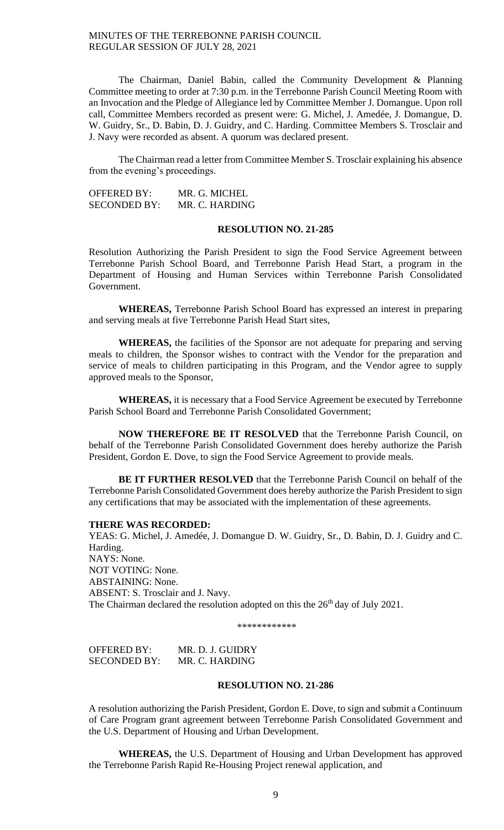The Chairman, Daniel Babin, called the Community Development & Planning Committee meeting to order at 7:30 p.m. in the Terrebonne Parish Council Meeting Room with an Invocation and the Pledge of Allegiance led by Committee Member J. Domangue. Upon roll call, Committee Members recorded as present were: G. Michel, J. Amedée, J. Domangue, D. W. Guidry, Sr., D. Babin, D. J. Guidry, and C. Harding. Committee Members S. Trosclair and J. Navy were recorded as absent. A quorum was declared present.

The Chairman read a letter from Committee Member S. Trosclair explaining his absence from the evening's proceedings.

| <b>OFFERED BY:</b>  | MR. G. MICHEL  |
|---------------------|----------------|
| <b>SECONDED BY:</b> | MR. C. HARDING |

#### **RESOLUTION NO. 21-285**

Resolution Authorizing the Parish President to sign the Food Service Agreement between Terrebonne Parish School Board, and Terrebonne Parish Head Start, a program in the Department of Housing and Human Services within Terrebonne Parish Consolidated Government.

**WHEREAS,** Terrebonne Parish School Board has expressed an interest in preparing and serving meals at five Terrebonne Parish Head Start sites,

**WHEREAS,** the facilities of the Sponsor are not adequate for preparing and serving meals to children, the Sponsor wishes to contract with the Vendor for the preparation and service of meals to children participating in this Program, and the Vendor agree to supply approved meals to the Sponsor,

**WHEREAS,** it is necessary that a Food Service Agreement be executed by Terrebonne Parish School Board and Terrebonne Parish Consolidated Government;

**NOW THEREFORE BE IT RESOLVED** that the Terrebonne Parish Council, on behalf of the Terrebonne Parish Consolidated Government does hereby authorize the Parish President, Gordon E. Dove, to sign the Food Service Agreement to provide meals.

**BE IT FURTHER RESOLVED** that the Terrebonne Parish Council on behalf of the Terrebonne Parish Consolidated Government does hereby authorize the Parish President to sign any certifications that may be associated with the implementation of these agreements.

#### **THERE WAS RECORDED:**

YEAS: G. Michel, J. Amedée, J. Domangue D. W. Guidry, Sr., D. Babin, D. J. Guidry and C. Harding. NAYS: None. NOT VOTING: None. ABSTAINING: None. ABSENT: S. Trosclair and J. Navy. The Chairman declared the resolution adopted on this the 26<sup>th</sup> day of July 2021.

\*\*\*\*\*\*\*\*\*\*\*\*

OFFERED BY: MR. D. J. GUIDRY SECONDED BY: MR. C. HARDING

# **RESOLUTION NO. 21-286**

A resolution authorizing the Parish President, Gordon E. Dove, to sign and submit a Continuum of Care Program grant agreement between Terrebonne Parish Consolidated Government and the U.S. Department of Housing and Urban Development.

**WHEREAS,** the U.S. Department of Housing and Urban Development has approved the Terrebonne Parish Rapid Re-Housing Project renewal application, and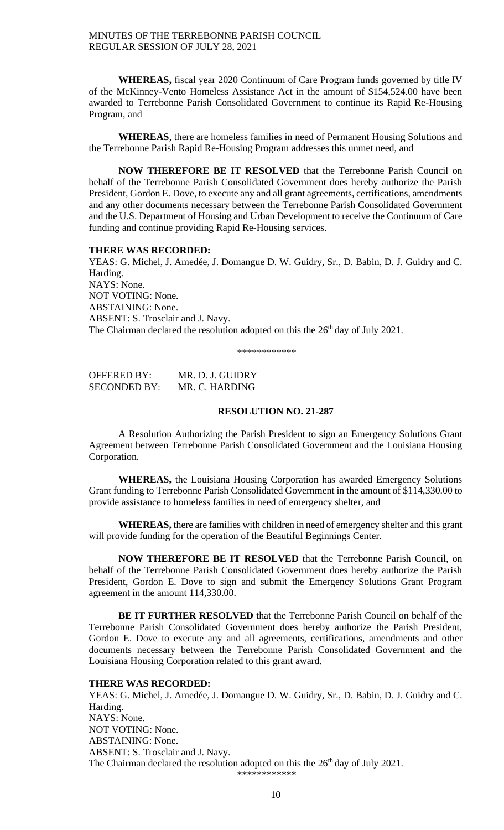**WHEREAS,** fiscal year 2020 Continuum of Care Program funds governed by title IV of the McKinney-Vento Homeless Assistance Act in the amount of \$154,524.00 have been awarded to Terrebonne Parish Consolidated Government to continue its Rapid Re-Housing Program, and

**WHEREAS**, there are homeless families in need of Permanent Housing Solutions and the Terrebonne Parish Rapid Re-Housing Program addresses this unmet need, and

**NOW THEREFORE BE IT RESOLVED** that the Terrebonne Parish Council on behalf of the Terrebonne Parish Consolidated Government does hereby authorize the Parish President, Gordon E. Dove, to execute any and all grant agreements, certifications, amendments and any other documents necessary between the Terrebonne Parish Consolidated Government and the U.S. Department of Housing and Urban Development to receive the Continuum of Care funding and continue providing Rapid Re-Housing services.

#### **THERE WAS RECORDED:**

YEAS: G. Michel, J. Amedée, J. Domangue D. W. Guidry, Sr., D. Babin, D. J. Guidry and C. Harding. NAYS: None. NOT VOTING: None. ABSTAINING: None. ABSENT: S. Trosclair and J. Navy. The Chairman declared the resolution adopted on this the 26<sup>th</sup> day of July 2021.

\*\*\*\*\*\*\*\*\*\*\*\*

| <b>OFFERED BY:</b>  | MR. D. J. GUIDRY |
|---------------------|------------------|
| <b>SECONDED BY:</b> | MR. C. HARDING   |

# **RESOLUTION NO. 21-287**

A Resolution Authorizing the Parish President to sign an Emergency Solutions Grant Agreement between Terrebonne Parish Consolidated Government and the Louisiana Housing Corporation.

**WHEREAS,** the Louisiana Housing Corporation has awarded Emergency Solutions Grant funding to Terrebonne Parish Consolidated Government in the amount of \$114,330.00 to provide assistance to homeless families in need of emergency shelter, and

**WHEREAS,** there are families with children in need of emergency shelter and this grant will provide funding for the operation of the Beautiful Beginnings Center.

**NOW THEREFORE BE IT RESOLVED** that the Terrebonne Parish Council, on behalf of the Terrebonne Parish Consolidated Government does hereby authorize the Parish President, Gordon E. Dove to sign and submit the Emergency Solutions Grant Program agreement in the amount 114,330.00.

**BE IT FURTHER RESOLVED** that the Terrebonne Parish Council on behalf of the Terrebonne Parish Consolidated Government does hereby authorize the Parish President, Gordon E. Dove to execute any and all agreements, certifications, amendments and other documents necessary between the Terrebonne Parish Consolidated Government and the Louisiana Housing Corporation related to this grant award.

### **THERE WAS RECORDED:**

YEAS: G. Michel, J. Amedée, J. Domangue D. W. Guidry, Sr., D. Babin, D. J. Guidry and C. Harding. NAYS: None. NOT VOTING: None. ABSTAINING: None. ABSENT: S. Trosclair and J. Navy. The Chairman declared the resolution adopted on this the 26<sup>th</sup> day of July 2021. \*\*\*\*\*\*\*\*\*\*\*\*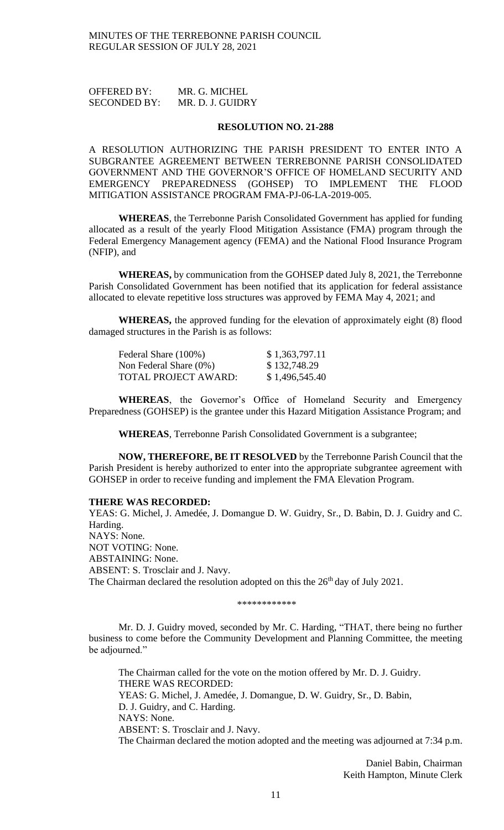| <b>OFFERED BY:</b>  | MR. G. MICHEL    |
|---------------------|------------------|
| <b>SECONDED BY:</b> | MR. D. J. GUIDRY |

#### **RESOLUTION NO. 21-288**

A RESOLUTION AUTHORIZING THE PARISH PRESIDENT TO ENTER INTO A SUBGRANTEE AGREEMENT BETWEEN TERREBONNE PARISH CONSOLIDATED GOVERNMENT AND THE GOVERNOR'S OFFICE OF HOMELAND SECURITY AND EMERGENCY PREPAREDNESS (GOHSEP) TO IMPLEMENT THE FLOOD MITIGATION ASSISTANCE PROGRAM FMA-PJ-06-LA-2019-005.

**WHEREAS**, the Terrebonne Parish Consolidated Government has applied for funding allocated as a result of the yearly Flood Mitigation Assistance (FMA) program through the Federal Emergency Management agency (FEMA) and the National Flood Insurance Program (NFIP), and

**WHEREAS,** by communication from the GOHSEP dated July 8, 2021, the Terrebonne Parish Consolidated Government has been notified that its application for federal assistance allocated to elevate repetitive loss structures was approved by FEMA May 4, 2021; and

**WHEREAS,** the approved funding for the elevation of approximately eight (8) flood damaged structures in the Parish is as follows:

| Federal Share (100%)   | \$1,363,797.11 |
|------------------------|----------------|
| Non Federal Share (0%) | \$132,748.29   |
| TOTAL PROJECT AWARD:   | \$1,496,545.40 |

**WHEREAS**, the Governor's Office of Homeland Security and Emergency Preparedness (GOHSEP) is the grantee under this Hazard Mitigation Assistance Program; and

**WHEREAS**, Terrebonne Parish Consolidated Government is a subgrantee;

**NOW, THEREFORE, BE IT RESOLVED** by the Terrebonne Parish Council that the Parish President is hereby authorized to enter into the appropriate subgrantee agreement with GOHSEP in order to receive funding and implement the FMA Elevation Program.

# **THERE WAS RECORDED:**

YEAS: G. Michel, J. Amedée, J. Domangue D. W. Guidry, Sr., D. Babin, D. J. Guidry and C. Harding. NAYS: None. NOT VOTING: None. ABSTAINING: None. ABSENT: S. Trosclair and J. Navy. The Chairman declared the resolution adopted on this the 26<sup>th</sup> day of July 2021.

\*\*\*\*\*\*\*\*\*\*\*\*

Mr. D. J. Guidry moved, seconded by Mr. C. Harding, "THAT, there being no further business to come before the Community Development and Planning Committee, the meeting be adjourned."

The Chairman called for the vote on the motion offered by Mr. D. J. Guidry. THERE WAS RECORDED: YEAS: G. Michel, J. Amedée, J. Domangue, D. W. Guidry, Sr., D. Babin, D. J. Guidry, and C. Harding. NAYS: None. ABSENT: S. Trosclair and J. Navy. The Chairman declared the motion adopted and the meeting was adjourned at 7:34 p.m.

> Daniel Babin, Chairman Keith Hampton, Minute Clerk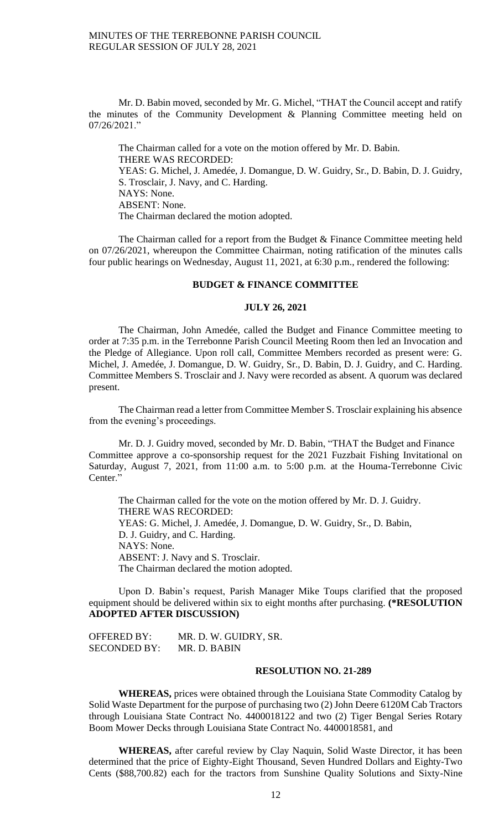Mr. D. Babin moved, seconded by Mr. G. Michel, "THAT the Council accept and ratify the minutes of the Community Development & Planning Committee meeting held on 07/26/2021."

The Chairman called for a vote on the motion offered by Mr. D. Babin. THERE WAS RECORDED: YEAS: G. Michel, J. Amedée, J. Domangue, D. W. Guidry, Sr., D. Babin, D. J. Guidry, S. Trosclair, J. Navy, and C. Harding. NAYS: None. ABSENT: None. The Chairman declared the motion adopted.

The Chairman called for a report from the Budget & Finance Committee meeting held on 07/26/2021, whereupon the Committee Chairman, noting ratification of the minutes calls four public hearings on Wednesday, August 11, 2021, at 6:30 p.m., rendered the following:

#### **BUDGET & FINANCE COMMITTEE**

## **JULY 26, 2021**

The Chairman, John Amedée, called the Budget and Finance Committee meeting to order at 7:35 p.m. in the Terrebonne Parish Council Meeting Room then led an Invocation and the Pledge of Allegiance. Upon roll call, Committee Members recorded as present were: G. Michel, J. Amedée, J. Domangue, D. W. Guidry, Sr., D. Babin, D. J. Guidry, and C. Harding. Committee Members S. Trosclair and J. Navy were recorded as absent. A quorum was declared present.

The Chairman read a letter from Committee Member S. Trosclair explaining his absence from the evening's proceedings.

Mr. D. J. Guidry moved, seconded by Mr. D. Babin, "THAT the Budget and Finance Committee approve a co-sponsorship request for the 2021 Fuzzbait Fishing Invitational on Saturday, August 7, 2021, from 11:00 a.m. to 5:00 p.m. at the Houma-Terrebonne Civic Center."

The Chairman called for the vote on the motion offered by Mr. D. J. Guidry. THERE WAS RECORDED: YEAS: G. Michel, J. Amedée, J. Domangue, D. W. Guidry, Sr., D. Babin, D. J. Guidry, and C. Harding. NAYS: None. ABSENT: J. Navy and S. Trosclair. The Chairman declared the motion adopted.

Upon D. Babin's request, Parish Manager Mike Toups clarified that the proposed equipment should be delivered within six to eight months after purchasing. **(\*RESOLUTION ADOPTED AFTER DISCUSSION)**

OFFERED BY: MR. D. W. GUIDRY, SR. SECONDED BY: MR. D. BABIN

# **RESOLUTION NO. 21-289**

**WHEREAS,** prices were obtained through the Louisiana State Commodity Catalog by Solid Waste Department for the purpose of purchasing two (2) John Deere 6120M Cab Tractors through Louisiana State Contract No. 4400018122 and two (2) Tiger Bengal Series Rotary Boom Mower Decks through Louisiana State Contract No. 4400018581, and

**WHEREAS,** after careful review by Clay Naquin, Solid Waste Director, it has been determined that the price of Eighty-Eight Thousand, Seven Hundred Dollars and Eighty-Two Cents (\$88,700.82) each for the tractors from Sunshine Quality Solutions and Sixty-Nine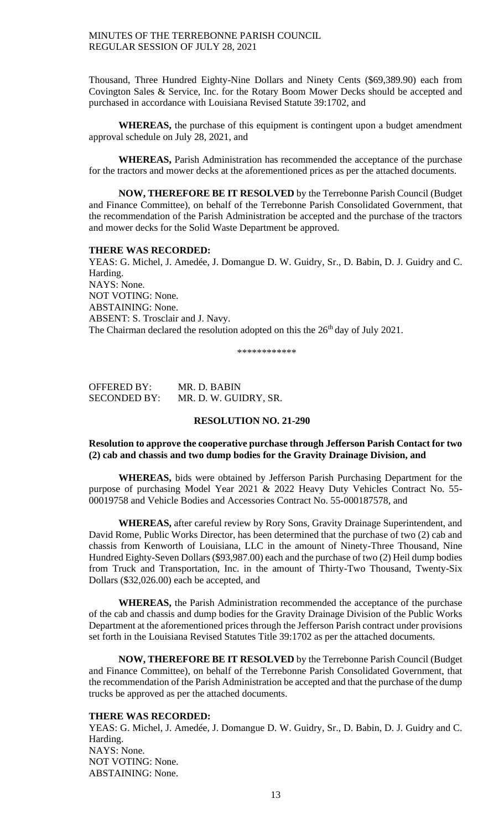Thousand, Three Hundred Eighty-Nine Dollars and Ninety Cents (\$69,389.90) each from Covington Sales & Service, Inc. for the Rotary Boom Mower Decks should be accepted and purchased in accordance with Louisiana Revised Statute 39:1702, and

**WHEREAS,** the purchase of this equipment is contingent upon a budget amendment approval schedule on July 28, 2021, and

**WHEREAS,** Parish Administration has recommended the acceptance of the purchase for the tractors and mower decks at the aforementioned prices as per the attached documents.

**NOW, THEREFORE BE IT RESOLVED** by the Terrebonne Parish Council (Budget and Finance Committee), on behalf of the Terrebonne Parish Consolidated Government, that the recommendation of the Parish Administration be accepted and the purchase of the tractors and mower decks for the Solid Waste Department be approved.

### **THERE WAS RECORDED:**

YEAS: G. Michel, J. Amedée, J. Domangue D. W. Guidry, Sr., D. Babin, D. J. Guidry and C. Harding. NAYS: None. NOT VOTING: None. ABSTAINING: None. ABSENT: S. Trosclair and J. Navy. The Chairman declared the resolution adopted on this the 26<sup>th</sup> day of July 2021.

\*\*\*\*\*\*\*\*\*\*\*\*

| <b>OFFERED BY:</b>  | MR. D. BABIN          |
|---------------------|-----------------------|
| <b>SECONDED BY:</b> | MR. D. W. GUIDRY, SR. |

# **RESOLUTION NO. 21-290**

# **Resolution to approve the cooperative purchase through Jefferson Parish Contact for two (2) cab and chassis and two dump bodies for the Gravity Drainage Division, and**

**WHEREAS,** bids were obtained by Jefferson Parish Purchasing Department for the purpose of purchasing Model Year 2021 & 2022 Heavy Duty Vehicles Contract No. 55- 00019758 and Vehicle Bodies and Accessories Contract No. 55-000187578, and

**WHEREAS,** after careful review by Rory Sons, Gravity Drainage Superintendent, and David Rome, Public Works Director, has been determined that the purchase of two (2) cab and chassis from Kenworth of Louisiana, LLC in the amount of Ninety-Three Thousand, Nine Hundred Eighty-Seven Dollars (\$93,987.00) each and the purchase of two (2) Heil dump bodies from Truck and Transportation, Inc. in the amount of Thirty-Two Thousand, Twenty-Six Dollars (\$32,026.00) each be accepted, and

**WHEREAS,** the Parish Administration recommended the acceptance of the purchase of the cab and chassis and dump bodies for the Gravity Drainage Division of the Public Works Department at the aforementioned prices through the Jefferson Parish contract under provisions set forth in the Louisiana Revised Statutes Title 39:1702 as per the attached documents.

**NOW, THEREFORE BE IT RESOLVED** by the Terrebonne Parish Council (Budget and Finance Committee), on behalf of the Terrebonne Parish Consolidated Government, that the recommendation of the Parish Administration be accepted and that the purchase of the dump trucks be approved as per the attached documents.

### **THERE WAS RECORDED:**

YEAS: G. Michel, J. Amedée, J. Domangue D. W. Guidry, Sr., D. Babin, D. J. Guidry and C. Harding. NAYS: None. NOT VOTING: None. ABSTAINING: None.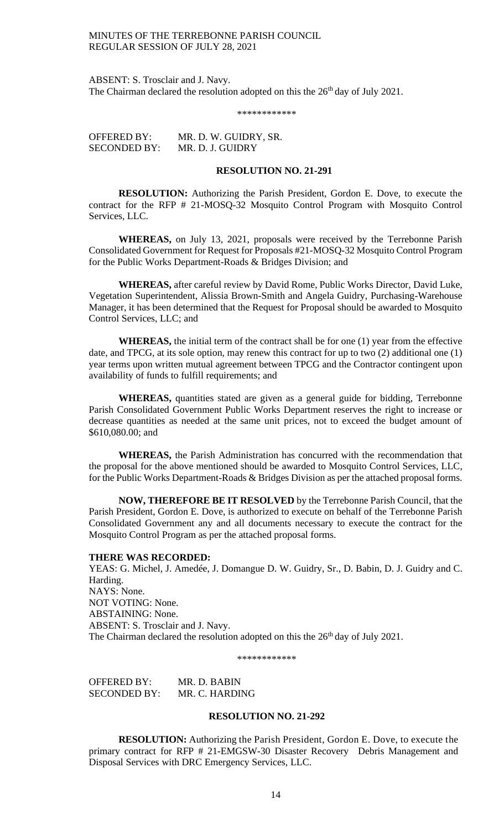ABSENT: S. Trosclair and J. Navy. The Chairman declared the resolution adopted on this the 26<sup>th</sup> day of July 2021.

\*\*\*\*\*\*\*\*\*\*\*\*

| <b>OFFERED BY:</b>  | MR. D. W. GUIDRY, SR. |
|---------------------|-----------------------|
| <b>SECONDED BY:</b> | MR. D. J. GUIDRY      |

## **RESOLUTION NO. 21-291**

**RESOLUTION:** Authorizing the Parish President, Gordon E. Dove, to execute the contract for the RFP # 21-MOSQ-32 Mosquito Control Program with Mosquito Control Services, LLC.

**WHEREAS,** on July 13, 2021, proposals were received by the Terrebonne Parish Consolidated Government for Request for Proposals #21-MOSQ-32 Mosquito Control Program for the Public Works Department-Roads & Bridges Division; and

**WHEREAS,** after careful review by David Rome, Public Works Director, David Luke, Vegetation Superintendent, Alissia Brown-Smith and Angela Guidry, Purchasing-Warehouse Manager, it has been determined that the Request for Proposal should be awarded to Mosquito Control Services, LLC; and

**WHEREAS,** the initial term of the contract shall be for one (1) year from the effective date, and TPCG, at its sole option, may renew this contract for up to two (2) additional one (1) year terms upon written mutual agreement between TPCG and the Contractor contingent upon availability of funds to fulfill requirements; and

**WHEREAS,** quantities stated are given as a general guide for bidding, Terrebonne Parish Consolidated Government Public Works Department reserves the right to increase or decrease quantities as needed at the same unit prices, not to exceed the budget amount of \$610,080.00; and

**WHEREAS,** the Parish Administration has concurred with the recommendation that the proposal for the above mentioned should be awarded to Mosquito Control Services, LLC, for the Public Works Department-Roads & Bridges Division as per the attached proposal forms.

**NOW, THEREFORE BE IT RESOLVED** by the Terrebonne Parish Council, that the Parish President, Gordon E. Dove, is authorized to execute on behalf of the Terrebonne Parish Consolidated Government any and all documents necessary to execute the contract for the Mosquito Control Program as per the attached proposal forms.

### **THERE WAS RECORDED:**

YEAS: G. Michel, J. Amedée, J. Domangue D. W. Guidry, Sr., D. Babin, D. J. Guidry and C. Harding. NAYS: None. NOT VOTING: None. ABSTAINING: None. ABSENT: S. Trosclair and J. Navy. The Chairman declared the resolution adopted on this the 26<sup>th</sup> day of July 2021.

\*\*\*\*\*\*\*\*\*\*\*\*

OFFERED BY: MR. D. BABIN SECONDED BY: MR. C. HARDING

# **RESOLUTION NO. 21-292**

**RESOLUTION:** Authorizing the Parish President, Gordon E. Dove, to execute the primary contract for RFP # 21-EMGSW-30 Disaster Recovery Debris Management and Disposal Services with DRC Emergency Services, LLC.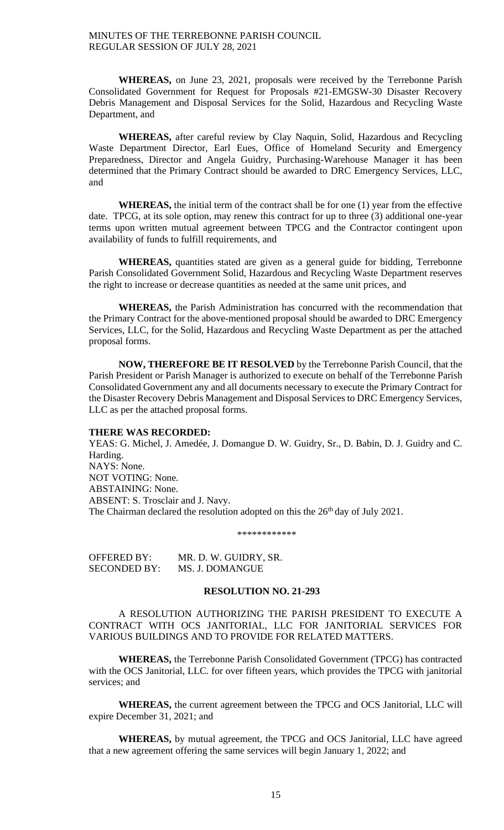**WHEREAS,** on June 23, 2021, proposals were received by the Terrebonne Parish Consolidated Government for Request for Proposals #21-EMGSW-30 Disaster Recovery Debris Management and Disposal Services for the Solid, Hazardous and Recycling Waste Department, and

**WHEREAS,** after careful review by Clay Naquin, Solid, Hazardous and Recycling Waste Department Director, Earl Eues, Office of Homeland Security and Emergency Preparedness, Director and Angela Guidry, Purchasing-Warehouse Manager it has been determined that the Primary Contract should be awarded to DRC Emergency Services, LLC, and

**WHEREAS,** the initial term of the contract shall be for one (1) year from the effective date. TPCG, at its sole option, may renew this contract for up to three (3) additional one-year terms upon written mutual agreement between TPCG and the Contractor contingent upon availability of funds to fulfill requirements, and

**WHEREAS,** quantities stated are given as a general guide for bidding, Terrebonne Parish Consolidated Government Solid, Hazardous and Recycling Waste Department reserves the right to increase or decrease quantities as needed at the same unit prices, and

**WHEREAS,** the Parish Administration has concurred with the recommendation that the Primary Contract for the above-mentioned proposal should be awarded to DRC Emergency Services, LLC, for the Solid, Hazardous and Recycling Waste Department as per the attached proposal forms.

**NOW, THEREFORE BE IT RESOLVED** by the Terrebonne Parish Council, that the Parish President or Parish Manager is authorized to execute on behalf of the Terrebonne Parish Consolidated Government any and all documents necessary to execute the Primary Contract for the Disaster Recovery Debris Management and Disposal Services to DRC Emergency Services, LLC as per the attached proposal forms.

### **THERE WAS RECORDED:**

YEAS: G. Michel, J. Amedée, J. Domangue D. W. Guidry, Sr., D. Babin, D. J. Guidry and C. Harding. NAYS: None. NOT VOTING: None. ABSTAINING: None. ABSENT: S. Trosclair and J. Navy. The Chairman declared the resolution adopted on this the  $26<sup>th</sup>$  day of July 2021.

\*\*\*\*\*\*\*\*\*\*\*\*

| <b>OFFERED BY:</b>  | MR. D. W. GUIDRY, SR. |
|---------------------|-----------------------|
| <b>SECONDED BY:</b> | MS. J. DOMANGUE       |

### **RESOLUTION NO. 21-293**

A RESOLUTION AUTHORIZING THE PARISH PRESIDENT TO EXECUTE A CONTRACT WITH OCS JANITORIAL, LLC FOR JANITORIAL SERVICES FOR VARIOUS BUILDINGS AND TO PROVIDE FOR RELATED MATTERS.

**WHEREAS,** the Terrebonne Parish Consolidated Government (TPCG) has contracted with the OCS Janitorial, LLC. for over fifteen years, which provides the TPCG with janitorial services; and

**WHEREAS,** the current agreement between the TPCG and OCS Janitorial, LLC will expire December 31, 2021; and

**WHEREAS,** by mutual agreement, the TPCG and OCS Janitorial, LLC have agreed that a new agreement offering the same services will begin January 1, 2022; and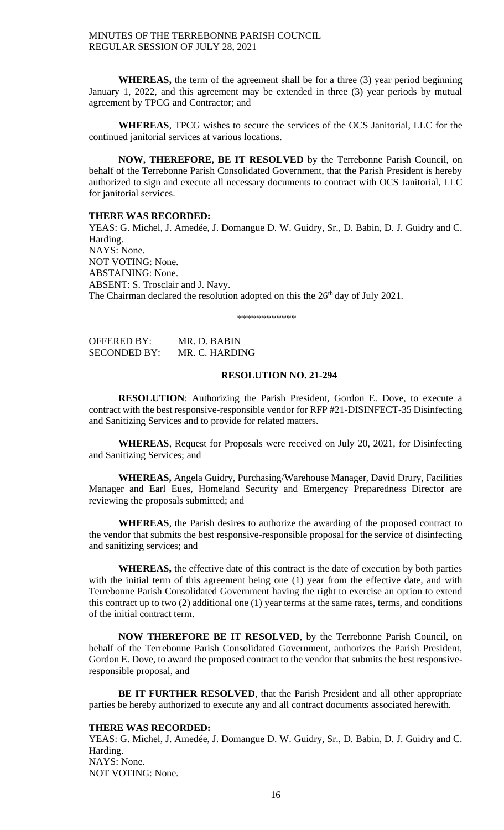**WHEREAS,** the term of the agreement shall be for a three (3) year period beginning January 1, 2022, and this agreement may be extended in three (3) year periods by mutual agreement by TPCG and Contractor; and

**WHEREAS**, TPCG wishes to secure the services of the OCS Janitorial, LLC for the continued janitorial services at various locations.

**NOW, THEREFORE, BE IT RESOLVED** by the Terrebonne Parish Council, on behalf of the Terrebonne Parish Consolidated Government, that the Parish President is hereby authorized to sign and execute all necessary documents to contract with OCS Janitorial, LLC for janitorial services.

### **THERE WAS RECORDED:**

YEAS: G. Michel, J. Amedée, J. Domangue D. W. Guidry, Sr., D. Babin, D. J. Guidry and C. Harding. NAYS: None. NOT VOTING: None. ABSTAINING: None. ABSENT: S. Trosclair and J. Navy. The Chairman declared the resolution adopted on this the 26<sup>th</sup> day of July 2021.

\*\*\*\*\*\*\*\*\*\*\*\*

OFFERED BY: MR. D. BABIN SECONDED BY: MR. C. HARDING

#### **RESOLUTION NO. 21-294**

**RESOLUTION**: Authorizing the Parish President, Gordon E. Dove, to execute a contract with the best responsive-responsible vendor for RFP #21-DISINFECT-35 Disinfecting and Sanitizing Services and to provide for related matters.

**WHEREAS**, Request for Proposals were received on July 20, 2021, for Disinfecting and Sanitizing Services; and

**WHEREAS,** Angela Guidry, Purchasing/Warehouse Manager, David Drury, Facilities Manager and Earl Eues, Homeland Security and Emergency Preparedness Director are reviewing the proposals submitted; and

**WHEREAS**, the Parish desires to authorize the awarding of the proposed contract to the vendor that submits the best responsive-responsible proposal for the service of disinfecting and sanitizing services; and

**WHEREAS,** the effective date of this contract is the date of execution by both parties with the initial term of this agreement being one (1) year from the effective date, and with Terrebonne Parish Consolidated Government having the right to exercise an option to extend this contract up to two (2) additional one (1) year terms at the same rates, terms, and conditions of the initial contract term.

**NOW THEREFORE BE IT RESOLVED**, by the Terrebonne Parish Council, on behalf of the Terrebonne Parish Consolidated Government, authorizes the Parish President, Gordon E. Dove, to award the proposed contract to the vendor that submits the best responsiveresponsible proposal, and

**BE IT FURTHER RESOLVED**, that the Parish President and all other appropriate parties be hereby authorized to execute any and all contract documents associated herewith.

### **THERE WAS RECORDED:**

YEAS: G. Michel, J. Amedée, J. Domangue D. W. Guidry, Sr., D. Babin, D. J. Guidry and C. Harding. NAYS: None. NOT VOTING: None.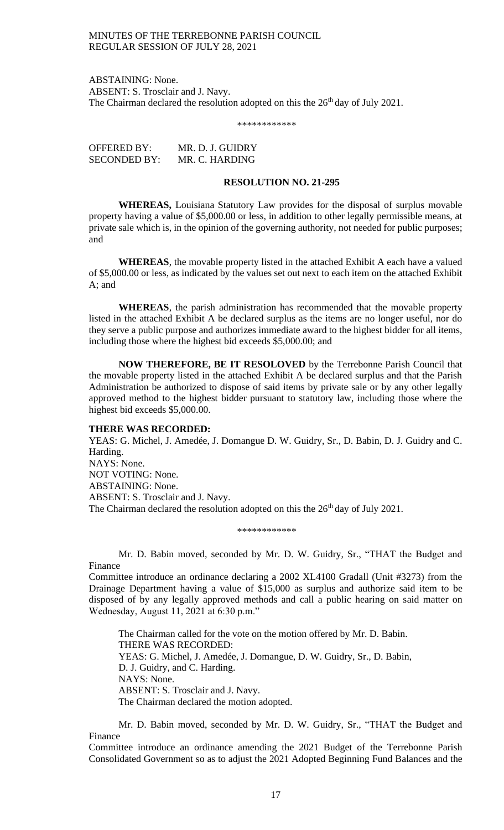ABSTAINING: None. ABSENT: S. Trosclair and J. Navy. The Chairman declared the resolution adopted on this the 26<sup>th</sup> day of July 2021.

\*\*\*\*\*\*\*\*\*\*\*\*

OFFERED BY: MR. D. J. GUIDRY SECONDED BY: MR. C. HARDING

## **RESOLUTION NO. 21-295**

**WHEREAS,** Louisiana Statutory Law provides for the disposal of surplus movable property having a value of \$5,000.00 or less, in addition to other legally permissible means, at private sale which is, in the opinion of the governing authority, not needed for public purposes; and

**WHEREAS**, the movable property listed in the attached Exhibit A each have a valued of \$5,000.00 or less, as indicated by the values set out next to each item on the attached Exhibit A; and

**WHEREAS**, the parish administration has recommended that the movable property listed in the attached Exhibit A be declared surplus as the items are no longer useful, nor do they serve a public purpose and authorizes immediate award to the highest bidder for all items, including those where the highest bid exceeds \$5,000.00; and

**NOW THEREFORE, BE IT RESOLOVED** by the Terrebonne Parish Council that the movable property listed in the attached Exhibit A be declared surplus and that the Parish Administration be authorized to dispose of said items by private sale or by any other legally approved method to the highest bidder pursuant to statutory law, including those where the highest bid exceeds \$5,000.00.

### **THERE WAS RECORDED:**

YEAS: G. Michel, J. Amedée, J. Domangue D. W. Guidry, Sr., D. Babin, D. J. Guidry and C. Harding. NAYS: None. NOT VOTING: None. ABSTAINING: None. ABSENT: S. Trosclair and J. Navy. The Chairman declared the resolution adopted on this the 26<sup>th</sup> day of July 2021.

#### \*\*\*\*\*\*\*\*\*\*\*\*

Mr. D. Babin moved, seconded by Mr. D. W. Guidry, Sr., "THAT the Budget and Finance

Committee introduce an ordinance declaring a 2002 XL4100 Gradall (Unit #3273) from the Drainage Department having a value of \$15,000 as surplus and authorize said item to be disposed of by any legally approved methods and call a public hearing on said matter on Wednesday, August 11, 2021 at 6:30 p.m."

The Chairman called for the vote on the motion offered by Mr. D. Babin. THERE WAS RECORDED: YEAS: G. Michel, J. Amedée, J. Domangue, D. W. Guidry, Sr., D. Babin, D. J. Guidry, and C. Harding. NAYS: None. ABSENT: S. Trosclair and J. Navy. The Chairman declared the motion adopted.

Mr. D. Babin moved, seconded by Mr. D. W. Guidry, Sr., "THAT the Budget and Finance

Committee introduce an ordinance amending the 2021 Budget of the Terrebonne Parish Consolidated Government so as to adjust the 2021 Adopted Beginning Fund Balances and the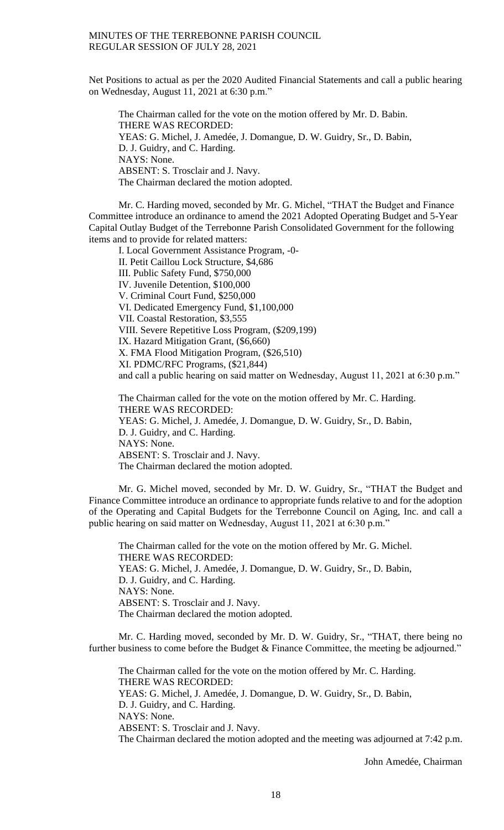Net Positions to actual as per the 2020 Audited Financial Statements and call a public hearing on Wednesday, August 11, 2021 at 6:30 p.m."

The Chairman called for the vote on the motion offered by Mr. D. Babin. THERE WAS RECORDED: YEAS: G. Michel, J. Amedée, J. Domangue, D. W. Guidry, Sr., D. Babin, D. J. Guidry, and C. Harding. NAYS: None. ABSENT: S. Trosclair and J. Navy. The Chairman declared the motion adopted.

Mr. C. Harding moved, seconded by Mr. G. Michel, "THAT the Budget and Finance Committee introduce an ordinance to amend the 2021 Adopted Operating Budget and 5-Year Capital Outlay Budget of the Terrebonne Parish Consolidated Government for the following items and to provide for related matters:

I. Local Government Assistance Program, -0-

II. Petit Caillou Lock Structure, \$4,686

III. Public Safety Fund, \$750,000

IV. Juvenile Detention, \$100,000

V. Criminal Court Fund, \$250,000

VI. Dedicated Emergency Fund, \$1,100,000

VII. Coastal Restoration, \$3,555

VIII. Severe Repetitive Loss Program, (\$209,199)

IX. Hazard Mitigation Grant, (\$6,660)

X. FMA Flood Mitigation Program, (\$26,510)

XI. PDMC/RFC Programs, (\$21,844)

and call a public hearing on said matter on Wednesday, August 11, 2021 at 6:30 p.m."

The Chairman called for the vote on the motion offered by Mr. C. Harding. THERE WAS RECORDED: YEAS: G. Michel, J. Amedée, J. Domangue, D. W. Guidry, Sr., D. Babin, D. J. Guidry, and C. Harding. NAYS: None. ABSENT: S. Trosclair and J. Navy. The Chairman declared the motion adopted.

Mr. G. Michel moved, seconded by Mr. D. W. Guidry, Sr., "THAT the Budget and Finance Committee introduce an ordinance to appropriate funds relative to and for the adoption of the Operating and Capital Budgets for the Terrebonne Council on Aging, Inc. and call a public hearing on said matter on Wednesday, August 11, 2021 at 6:30 p.m."

The Chairman called for the vote on the motion offered by Mr. G. Michel. THERE WAS RECORDED: YEAS: G. Michel, J. Amedée, J. Domangue, D. W. Guidry, Sr., D. Babin, D. J. Guidry, and C. Harding. NAYS: None. ABSENT: S. Trosclair and J. Navy. The Chairman declared the motion adopted.

Mr. C. Harding moved, seconded by Mr. D. W. Guidry, Sr., "THAT, there being no further business to come before the Budget & Finance Committee, the meeting be adjourned."

The Chairman called for the vote on the motion offered by Mr. C. Harding. THERE WAS RECORDED: YEAS: G. Michel, J. Amedée, J. Domangue, D. W. Guidry, Sr., D. Babin, D. J. Guidry, and C. Harding. NAYS: None. ABSENT: S. Trosclair and J. Navy. The Chairman declared the motion adopted and the meeting was adjourned at 7:42 p.m.

John Amedée, Chairman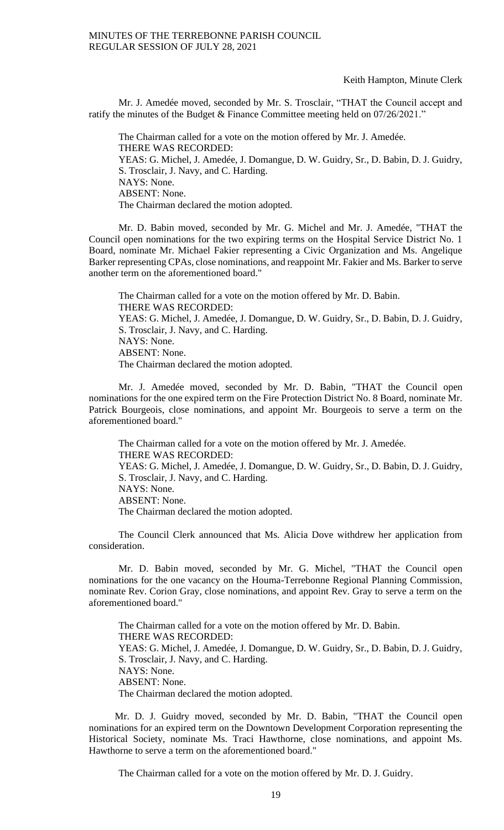#### Keith Hampton, Minute Clerk

Mr. J. Amedée moved, seconded by Mr. S. Trosclair, "THAT the Council accept and ratify the minutes of the Budget & Finance Committee meeting held on 07/26/2021."

The Chairman called for a vote on the motion offered by Mr. J. Amedée. THERE WAS RECORDED: YEAS: G. Michel, J. Amedée, J. Domangue, D. W. Guidry, Sr., D. Babin, D. J. Guidry, S. Trosclair, J. Navy, and C. Harding. NAYS: None. ABSENT: None. The Chairman declared the motion adopted.

Mr. D. Babin moved, seconded by Mr. G. Michel and Mr. J. Amedée, "THAT the Council open nominations for the two expiring terms on the Hospital Service District No. 1 Board, nominate Mr. Michael Fakier representing a Civic Organization and Ms. Angelique Barker representing CPAs, close nominations, and reappoint Mr. Fakier and Ms. Barker to serve another term on the aforementioned board."

The Chairman called for a vote on the motion offered by Mr. D. Babin. THERE WAS RECORDED: YEAS: G. Michel, J. Amedée, J. Domangue, D. W. Guidry, Sr., D. Babin, D. J. Guidry, S. Trosclair, J. Navy, and C. Harding. NAYS: None. ABSENT: None. The Chairman declared the motion adopted.

Mr. J. Amedée moved, seconded by Mr. D. Babin, "THAT the Council open nominations for the one expired term on the Fire Protection District No. 8 Board, nominate Mr. Patrick Bourgeois, close nominations, and appoint Mr. Bourgeois to serve a term on the aforementioned board."

The Chairman called for a vote on the motion offered by Mr. J. Amedée. THERE WAS RECORDED: YEAS: G. Michel, J. Amedée, J. Domangue, D. W. Guidry, Sr., D. Babin, D. J. Guidry, S. Trosclair, J. Navy, and C. Harding. NAYS: None. ABSENT: None. The Chairman declared the motion adopted.

The Council Clerk announced that Ms. Alicia Dove withdrew her application from consideration.

Mr. D. Babin moved, seconded by Mr. G. Michel, "THAT the Council open nominations for the one vacancy on the Houma-Terrebonne Regional Planning Commission, nominate Rev. Corion Gray, close nominations, and appoint Rev. Gray to serve a term on the aforementioned board."

The Chairman called for a vote on the motion offered by Mr. D. Babin. THERE WAS RECORDED: YEAS: G. Michel, J. Amedée, J. Domangue, D. W. Guidry, Sr., D. Babin, D. J. Guidry, S. Trosclair, J. Navy, and C. Harding. NAYS: None. ABSENT: None. The Chairman declared the motion adopted.

Mr. D. J. Guidry moved, seconded by Mr. D. Babin, "THAT the Council open nominations for an expired term on the Downtown Development Corporation representing the Historical Society, nominate Ms. Traci Hawthorne, close nominations, and appoint Ms. Hawthorne to serve a term on the aforementioned board."

The Chairman called for a vote on the motion offered by Mr. D. J. Guidry.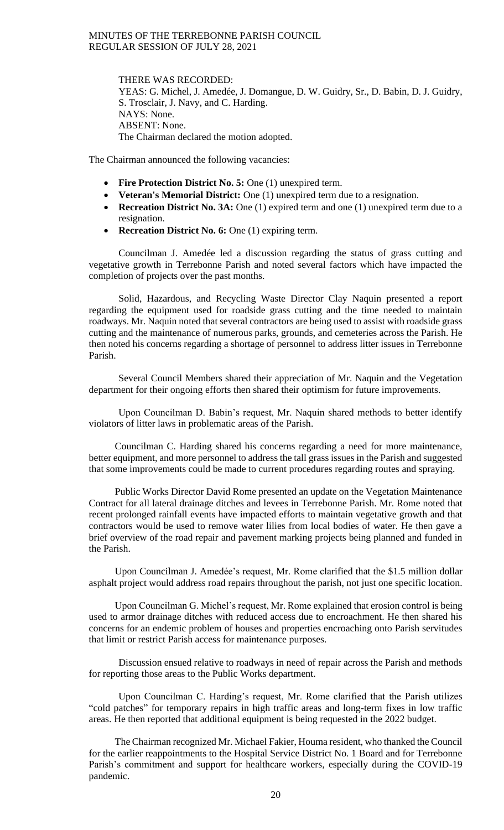THERE WAS RECORDED: YEAS: G. Michel, J. Amedée, J. Domangue, D. W. Guidry, Sr., D. Babin, D. J. Guidry, S. Trosclair, J. Navy, and C. Harding. NAYS: None. ABSENT: None. The Chairman declared the motion adopted.

The Chairman announced the following vacancies:

- **Fire Protection District No. 5:** One (1) unexpired term.
- **Veteran's Memorial District:** One (1) unexpired term due to a resignation.
- **Recreation District No. 3A:** One (1) expired term and one (1) unexpired term due to a resignation.
- **Recreation District No. 6:** One (1) expiring term.

Councilman J. Amedée led a discussion regarding the status of grass cutting and vegetative growth in Terrebonne Parish and noted several factors which have impacted the completion of projects over the past months.

Solid, Hazardous, and Recycling Waste Director Clay Naquin presented a report regarding the equipment used for roadside grass cutting and the time needed to maintain roadways. Mr. Naquin noted that several contractors are being used to assist with roadside grass cutting and the maintenance of numerous parks, grounds, and cemeteries across the Parish. He then noted his concerns regarding a shortage of personnel to address litter issues in Terrebonne Parish.

Several Council Members shared their appreciation of Mr. Naquin and the Vegetation department for their ongoing efforts then shared their optimism for future improvements.

Upon Councilman D. Babin's request, Mr. Naquin shared methods to better identify violators of litter laws in problematic areas of the Parish.

Councilman C. Harding shared his concerns regarding a need for more maintenance, better equipment, and more personnel to address the tall grass issues in the Parish and suggested that some improvements could be made to current procedures regarding routes and spraying.

Public Works Director David Rome presented an update on the Vegetation Maintenance Contract for all lateral drainage ditches and levees in Terrebonne Parish. Mr. Rome noted that recent prolonged rainfall events have impacted efforts to maintain vegetative growth and that contractors would be used to remove water lilies from local bodies of water. He then gave a brief overview of the road repair and pavement marking projects being planned and funded in the Parish.

Upon Councilman J. Amedée's request, Mr. Rome clarified that the \$1.5 million dollar asphalt project would address road repairs throughout the parish, not just one specific location.

Upon Councilman G. Michel's request, Mr. Rome explained that erosion control is being used to armor drainage ditches with reduced access due to encroachment. He then shared his concerns for an endemic problem of houses and properties encroaching onto Parish servitudes that limit or restrict Parish access for maintenance purposes.

Discussion ensued relative to roadways in need of repair across the Parish and methods for reporting those areas to the Public Works department.

Upon Councilman C. Harding's request, Mr. Rome clarified that the Parish utilizes "cold patches" for temporary repairs in high traffic areas and long-term fixes in low traffic areas. He then reported that additional equipment is being requested in the 2022 budget.

The Chairman recognized Mr. Michael Fakier, Houma resident, who thanked the Council for the earlier reappointments to the Hospital Service District No. 1 Board and for Terrebonne Parish's commitment and support for healthcare workers, especially during the COVID-19 pandemic.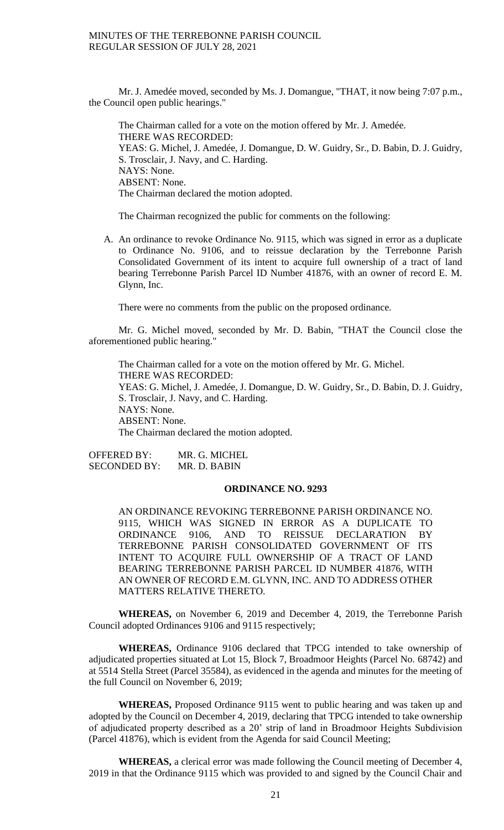Mr. J. Amedée moved, seconded by Ms. J. Domangue, "THAT, it now being 7:07 p.m., the Council open public hearings."

The Chairman called for a vote on the motion offered by Mr. J. Amedée. THERE WAS RECORDED: YEAS: G. Michel, J. Amedée, J. Domangue, D. W. Guidry, Sr., D. Babin, D. J. Guidry, S. Trosclair, J. Navy, and C. Harding. NAYS: None. ABSENT: None. The Chairman declared the motion adopted.

The Chairman recognized the public for comments on the following:

A. An ordinance to revoke Ordinance No. 9115, which was signed in error as a duplicate to Ordinance No. 9106, and to reissue declaration by the Terrebonne Parish Consolidated Government of its intent to acquire full ownership of a tract of land bearing Terrebonne Parish Parcel ID Number 41876, with an owner of record E. M. Glynn, Inc.

There were no comments from the public on the proposed ordinance.

Mr. G. Michel moved, seconded by Mr. D. Babin, "THAT the Council close the aforementioned public hearing."

The Chairman called for a vote on the motion offered by Mr. G. Michel. THERE WAS RECORDED: YEAS: G. Michel, J. Amedée, J. Domangue, D. W. Guidry, Sr., D. Babin, D. J. Guidry, S. Trosclair, J. Navy, and C. Harding. NAYS: None. ABSENT: None. The Chairman declared the motion adopted.

OFFERED BY: MR. G. MICHEL SECONDED BY: MR. D. BABIN

#### **ORDINANCE NO. 9293**

AN ORDINANCE REVOKING TERREBONNE PARISH ORDINANCE NO. 9115, WHICH WAS SIGNED IN ERROR AS A DUPLICATE TO ORDINANCE 9106, AND TO REISSUE DECLARATION BY TERREBONNE PARISH CONSOLIDATED GOVERNMENT OF ITS INTENT TO ACQUIRE FULL OWNERSHIP OF A TRACT OF LAND BEARING TERREBONNE PARISH PARCEL ID NUMBER 41876, WITH AN OWNER OF RECORD E.M. GLYNN, INC. AND TO ADDRESS OTHER MATTERS RELATIVE THERETO.

**WHEREAS,** on November 6, 2019 and December 4, 2019, the Terrebonne Parish Council adopted Ordinances 9106 and 9115 respectively;

**WHEREAS,** Ordinance 9106 declared that TPCG intended to take ownership of adjudicated properties situated at Lot 15, Block 7, Broadmoor Heights (Parcel No. 68742) and at 5514 Stella Street (Parcel 35584), as evidenced in the agenda and minutes for the meeting of the full Council on November 6, 2019;

**WHEREAS,** Proposed Ordinance 9115 went to public hearing and was taken up and adopted by the Council on December 4, 2019, declaring that TPCG intended to take ownership of adjudicated property described as a 20' strip of land in Broadmoor Heights Subdivision (Parcel 41876), which is evident from the Agenda for said Council Meeting;

**WHEREAS,** a clerical error was made following the Council meeting of December 4, 2019 in that the Ordinance 9115 which was provided to and signed by the Council Chair and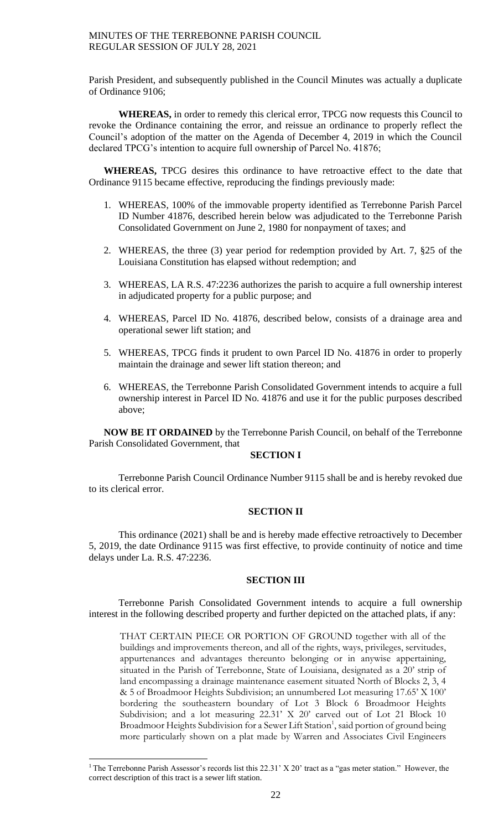Parish President, and subsequently published in the Council Minutes was actually a duplicate of Ordinance 9106;

**WHEREAS,** in order to remedy this clerical error, TPCG now requests this Council to revoke the Ordinance containing the error, and reissue an ordinance to properly reflect the Council's adoption of the matter on the Agenda of December 4, 2019 in which the Council declared TPCG's intention to acquire full ownership of Parcel No. 41876;

**WHEREAS,** TPCG desires this ordinance to have retroactive effect to the date that Ordinance 9115 became effective, reproducing the findings previously made:

- 1. WHEREAS, 100% of the immovable property identified as Terrebonne Parish Parcel ID Number 41876, described herein below was adjudicated to the Terrebonne Parish Consolidated Government on June 2, 1980 for nonpayment of taxes; and
- 2. WHEREAS, the three (3) year period for redemption provided by Art. 7, §25 of the Louisiana Constitution has elapsed without redemption; and
- 3. WHEREAS, LA R.S. 47:2236 authorizes the parish to acquire a full ownership interest in adjudicated property for a public purpose; and
- 4. WHEREAS, Parcel ID No. 41876, described below, consists of a drainage area and operational sewer lift station; and
- 5. WHEREAS, TPCG finds it prudent to own Parcel ID No. 41876 in order to properly maintain the drainage and sewer lift station thereon; and
- 6. WHEREAS, the Terrebonne Parish Consolidated Government intends to acquire a full ownership interest in Parcel ID No. 41876 and use it for the public purposes described above;

**NOW BE IT ORDAINED** by the Terrebonne Parish Council, on behalf of the Terrebonne Parish Consolidated Government, that

# **SECTION I**

Terrebonne Parish Council Ordinance Number 9115 shall be and is hereby revoked due to its clerical error.

# **SECTION II**

This ordinance (2021) shall be and is hereby made effective retroactively to December 5, 2019, the date Ordinance 9115 was first effective, to provide continuity of notice and time delays under La. R.S. 47:2236.

# **SECTION III**

Terrebonne Parish Consolidated Government intends to acquire a full ownership interest in the following described property and further depicted on the attached plats, if any:

THAT CERTAIN PIECE OR PORTION OF GROUND together with all of the buildings and improvements thereon, and all of the rights, ways, privileges, servitudes, appurtenances and advantages thereunto belonging or in anywise appertaining, situated in the Parish of Terrebonne, State of Louisiana, designated as a 20' strip of land encompassing a drainage maintenance easement situated North of Blocks 2, 3, 4 & 5 of Broadmoor Heights Subdivision; an unnumbered Lot measuring 17.65' X 100' bordering the southeastern boundary of Lot 3 Block 6 Broadmoor Heights Subdivision; and a lot measuring 22.31' X 20' carved out of Lot 21 Block 10 Broadmoor Heights Subdivision for a Sewer Lift Station<sup>1</sup>, said portion of ground being more particularly shown on a plat made by Warren and Associates Civil Engineers

<sup>&</sup>lt;sup>1</sup> The Terrebonne Parish Assessor's records list this 22.31' X 20' tract as a "gas meter station." However, the correct description of this tract is a sewer lift station.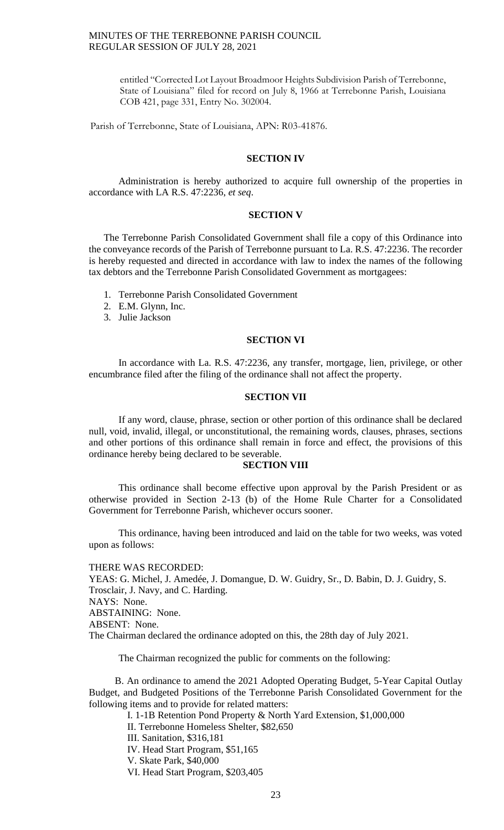entitled "Corrected Lot Layout Broadmoor Heights Subdivision Parish of Terrebonne, State of Louisiana" filed for record on July 8, 1966 at Terrebonne Parish, Louisiana COB 421, page 331, Entry No. 302004.

Parish of Terrebonne, State of Louisiana, APN: R03-41876.

## **SECTION IV**

Administration is hereby authorized to acquire full ownership of the properties in accordance with LA R.S. 47:2236, *et seq*.

#### **SECTION V**

The Terrebonne Parish Consolidated Government shall file a copy of this Ordinance into the conveyance records of the Parish of Terrebonne pursuant to La. R.S. 47:2236. The recorder is hereby requested and directed in accordance with law to index the names of the following tax debtors and the Terrebonne Parish Consolidated Government as mortgagees:

- 1. Terrebonne Parish Consolidated Government
- 2. E.M. Glynn, Inc.
- 3. Julie Jackson

#### **SECTION VI**

In accordance with La. R.S. 47:2236, any transfer, mortgage, lien, privilege, or other encumbrance filed after the filing of the ordinance shall not affect the property.

## **SECTION VII**

If any word, clause, phrase, section or other portion of this ordinance shall be declared null, void, invalid, illegal, or unconstitutional, the remaining words, clauses, phrases, sections and other portions of this ordinance shall remain in force and effect, the provisions of this ordinance hereby being declared to be severable.

#### **SECTION VIII**

This ordinance shall become effective upon approval by the Parish President or as otherwise provided in Section 2-13 (b) of the Home Rule Charter for a Consolidated Government for Terrebonne Parish, whichever occurs sooner.

This ordinance, having been introduced and laid on the table for two weeks, was voted upon as follows:

THERE WAS RECORDED: YEAS: G. Michel, J. Amedée, J. Domangue, D. W. Guidry, Sr., D. Babin, D. J. Guidry, S. Trosclair, J. Navy, and C. Harding. NAYS: None. ABSTAINING: None. ABSENT: None. The Chairman declared the ordinance adopted on this, the 28th day of July 2021.

The Chairman recognized the public for comments on the following:

B. An ordinance to amend the 2021 Adopted Operating Budget, 5-Year Capital Outlay Budget, and Budgeted Positions of the Terrebonne Parish Consolidated Government for the following items and to provide for related matters:

I. 1-1B Retention Pond Property & North Yard Extension, \$1,000,000

II. Terrebonne Homeless Shelter, \$82,650

III. Sanitation, \$316,181

IV. Head Start Program, \$51,165

V. Skate Park, \$40,000

VI. Head Start Program, \$203,405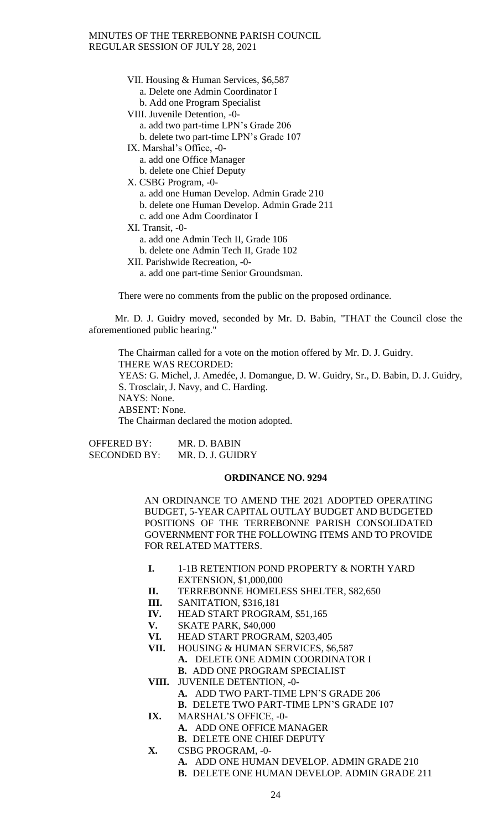VII. Housing & Human Services, \$6,587

- a. Delete one Admin Coordinator I
- b. Add one Program Specialist
- VIII. Juvenile Detention, -0
	- a. add two part-time LPN's Grade 206
	- b. delete two part-time LPN's Grade 107
- IX. Marshal's Office, -0
	- a. add one Office Manager
	- b. delete one Chief Deputy
- X. CSBG Program, -0
	- a. add one Human Develop. Admin Grade 210
	- b. delete one Human Develop. Admin Grade 211
	- c. add one Adm Coordinator I
- XI. Transit, -0
	- a. add one Admin Tech II, Grade 106
	- b. delete one Admin Tech II, Grade 102
- XII. Parishwide Recreation, -0
	- a. add one part-time Senior Groundsman.

There were no comments from the public on the proposed ordinance.

Mr. D. J. Guidry moved, seconded by Mr. D. Babin, "THAT the Council close the aforementioned public hearing."

The Chairman called for a vote on the motion offered by Mr. D. J. Guidry. THERE WAS RECORDED: YEAS: G. Michel, J. Amedée, J. Domangue, D. W. Guidry, Sr., D. Babin, D. J. Guidry, S. Trosclair, J. Navy, and C. Harding. NAYS: None. ABSENT: None. The Chairman declared the motion adopted.

OFFERED BY: MR. D. BABIN SECONDED BY: MR. D. J. GUIDRY

#### **ORDINANCE NO. 9294**

AN ORDINANCE TO AMEND THE 2021 ADOPTED OPERATING BUDGET, 5-YEAR CAPITAL OUTLAY BUDGET AND BUDGETED POSITIONS OF THE TERREBONNE PARISH CONSOLIDATED GOVERNMENT FOR THE FOLLOWING ITEMS AND TO PROVIDE FOR RELATED MATTERS.

- **I.** 1-1B RETENTION POND PROPERTY & NORTH YARD EXTENSION, \$1,000,000
- **II.** TERREBONNE HOMELESS SHELTER, \$82,650
- **III.** SANITATION, \$316,181
- **IV.** HEAD START PROGRAM, \$51,165
- **V.** SKATE PARK, \$40,000
- **VI.** HEAD START PROGRAM, \$203,405
- **VII.** HOUSING & HUMAN SERVICES, \$6,587
	- **A.** DELETE ONE ADMIN COORDINATOR I
	- **B.** ADD ONE PROGRAM SPECIALIST
- **VIII.** JUVENILE DETENTION, -0-
	- **A.** ADD TWO PART-TIME LPN'S GRADE 206
	- **B.** DELETE TWO PART-TIME LPN'S GRADE 107
- **IX.** MARSHAL'S OFFICE, -0-
	- **A.** ADD ONE OFFICE MANAGER
	- **B.** DELETE ONE CHIEF DEPUTY
- **X.** CSBG PROGRAM, -0-
	- **A.** ADD ONE HUMAN DEVELOP. ADMIN GRADE 210
	- **B.** DELETE ONE HUMAN DEVELOP. ADMIN GRADE 211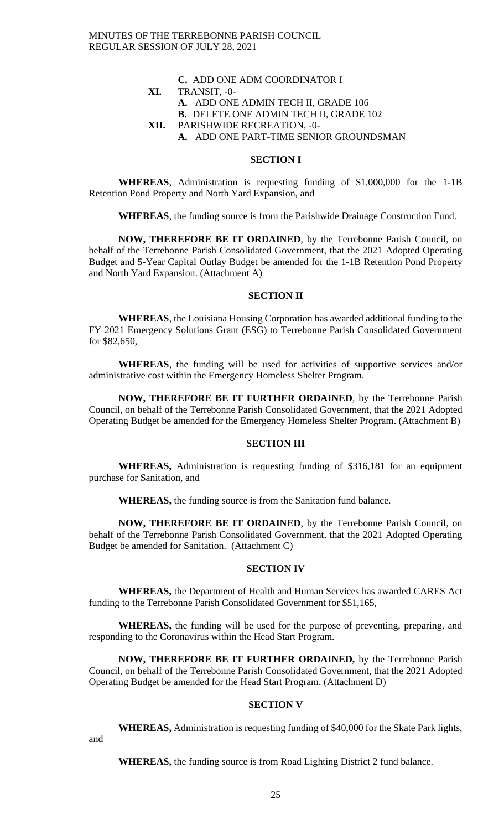> **C.** ADD ONE ADM COORDINATOR I **XI.** TRANSIT, -0- **A.** ADD ONE ADMIN TECH II, GRADE 106 **B.** DELETE ONE ADMIN TECH II, GRADE 102 **XII.** PARISHWIDE RECREATION, -0- **A.** ADD ONE PART-TIME SENIOR GROUNDSMAN

# **SECTION I**

**WHEREAS**, Administration is requesting funding of \$1,000,000 for the 1-1B Retention Pond Property and North Yard Expansion, and

**WHEREAS**, the funding source is from the Parishwide Drainage Construction Fund.

**NOW, THEREFORE BE IT ORDAINED**, by the Terrebonne Parish Council, on behalf of the Terrebonne Parish Consolidated Government, that the 2021 Adopted Operating Budget and 5-Year Capital Outlay Budget be amended for the 1-1B Retention Pond Property and North Yard Expansion. (Attachment A)

#### **SECTION II**

**WHEREAS**, the Louisiana Housing Corporation has awarded additional funding to the FY 2021 Emergency Solutions Grant (ESG) to Terrebonne Parish Consolidated Government for \$82,650,

**WHEREAS**, the funding will be used for activities of supportive services and/or administrative cost within the Emergency Homeless Shelter Program.

**NOW, THEREFORE BE IT FURTHER ORDAINED**, by the Terrebonne Parish Council, on behalf of the Terrebonne Parish Consolidated Government, that the 2021 Adopted Operating Budget be amended for the Emergency Homeless Shelter Program. (Attachment B)

# **SECTION III**

**WHEREAS,** Administration is requesting funding of \$316,181 for an equipment purchase for Sanitation, and

**WHEREAS,** the funding source is from the Sanitation fund balance.

**NOW, THEREFORE BE IT ORDAINED**, by the Terrebonne Parish Council, on behalf of the Terrebonne Parish Consolidated Government, that the 2021 Adopted Operating Budget be amended for Sanitation. (Attachment C)

#### **SECTION IV**

**WHEREAS,** the Department of Health and Human Services has awarded CARES Act funding to the Terrebonne Parish Consolidated Government for \$51,165,

**WHEREAS,** the funding will be used for the purpose of preventing, preparing, and responding to the Coronavirus within the Head Start Program.

**NOW, THEREFORE BE IT FURTHER ORDAINED,** by the Terrebonne Parish Council, on behalf of the Terrebonne Parish Consolidated Government, that the 2021 Adopted Operating Budget be amended for the Head Start Program. (Attachment D)

#### **SECTION V**

**WHEREAS,** Administration is requesting funding of \$40,000 for the Skate Park lights,

and

**WHEREAS,** the funding source is from Road Lighting District 2 fund balance.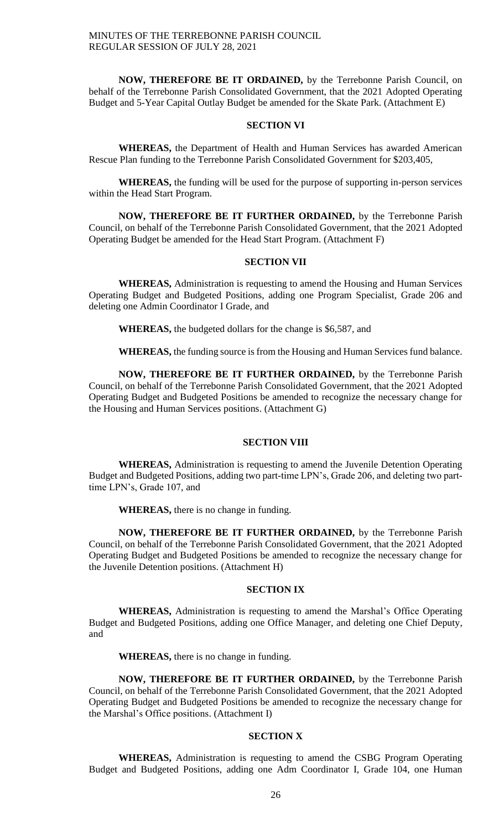**NOW, THEREFORE BE IT ORDAINED,** by the Terrebonne Parish Council, on behalf of the Terrebonne Parish Consolidated Government, that the 2021 Adopted Operating Budget and 5-Year Capital Outlay Budget be amended for the Skate Park. (Attachment E)

## **SECTION VI**

**WHEREAS,** the Department of Health and Human Services has awarded American Rescue Plan funding to the Terrebonne Parish Consolidated Government for \$203,405,

**WHEREAS,** the funding will be used for the purpose of supporting in-person services within the Head Start Program.

**NOW, THEREFORE BE IT FURTHER ORDAINED,** by the Terrebonne Parish Council, on behalf of the Terrebonne Parish Consolidated Government, that the 2021 Adopted Operating Budget be amended for the Head Start Program. (Attachment F)

# **SECTION VII**

**WHEREAS,** Administration is requesting to amend the Housing and Human Services Operating Budget and Budgeted Positions, adding one Program Specialist, Grade 206 and deleting one Admin Coordinator I Grade, and

**WHEREAS,** the budgeted dollars for the change is \$6,587, and

**WHEREAS,** the funding source is from the Housing and Human Services fund balance.

**NOW, THEREFORE BE IT FURTHER ORDAINED,** by the Terrebonne Parish Council, on behalf of the Terrebonne Parish Consolidated Government, that the 2021 Adopted Operating Budget and Budgeted Positions be amended to recognize the necessary change for the Housing and Human Services positions. (Attachment G)

### **SECTION VIII**

**WHEREAS,** Administration is requesting to amend the Juvenile Detention Operating Budget and Budgeted Positions, adding two part-time LPN's, Grade 206, and deleting two parttime LPN's, Grade 107, and

**WHEREAS,** there is no change in funding.

**NOW, THEREFORE BE IT FURTHER ORDAINED,** by the Terrebonne Parish Council, on behalf of the Terrebonne Parish Consolidated Government, that the 2021 Adopted Operating Budget and Budgeted Positions be amended to recognize the necessary change for the Juvenile Detention positions. (Attachment H)

## **SECTION IX**

**WHEREAS,** Administration is requesting to amend the Marshal's Office Operating Budget and Budgeted Positions, adding one Office Manager, and deleting one Chief Deputy, and

**WHEREAS,** there is no change in funding.

**NOW, THEREFORE BE IT FURTHER ORDAINED,** by the Terrebonne Parish Council, on behalf of the Terrebonne Parish Consolidated Government, that the 2021 Adopted Operating Budget and Budgeted Positions be amended to recognize the necessary change for the Marshal's Office positions. (Attachment I)

# **SECTION X**

**WHEREAS,** Administration is requesting to amend the CSBG Program Operating Budget and Budgeted Positions, adding one Adm Coordinator I, Grade 104, one Human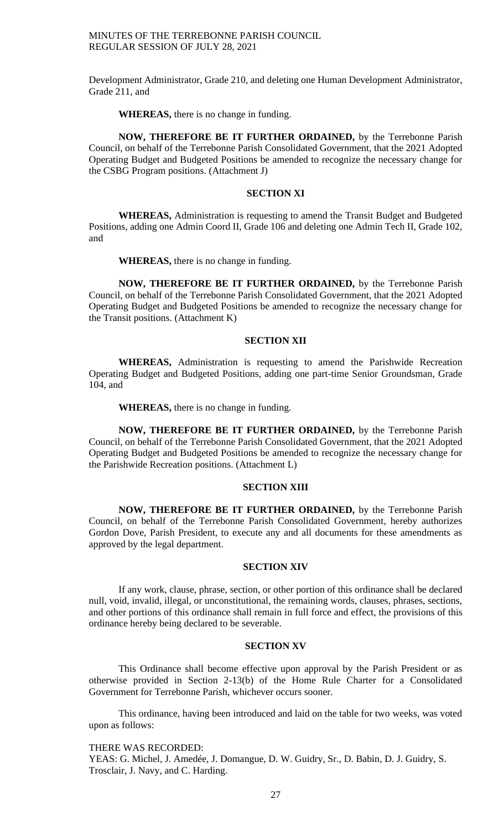Development Administrator, Grade 210, and deleting one Human Development Administrator, Grade 211, and

**WHEREAS,** there is no change in funding.

**NOW, THEREFORE BE IT FURTHER ORDAINED,** by the Terrebonne Parish Council, on behalf of the Terrebonne Parish Consolidated Government, that the 2021 Adopted Operating Budget and Budgeted Positions be amended to recognize the necessary change for the CSBG Program positions. (Attachment J)

### **SECTION XI**

**WHEREAS,** Administration is requesting to amend the Transit Budget and Budgeted Positions, adding one Admin Coord II, Grade 106 and deleting one Admin Tech II, Grade 102, and

**WHEREAS,** there is no change in funding.

**NOW, THEREFORE BE IT FURTHER ORDAINED,** by the Terrebonne Parish Council, on behalf of the Terrebonne Parish Consolidated Government, that the 2021 Adopted Operating Budget and Budgeted Positions be amended to recognize the necessary change for the Transit positions. (Attachment K)

#### **SECTION XII**

**WHEREAS,** Administration is requesting to amend the Parishwide Recreation Operating Budget and Budgeted Positions, adding one part-time Senior Groundsman, Grade 104, and

**WHEREAS,** there is no change in funding.

**NOW, THEREFORE BE IT FURTHER ORDAINED,** by the Terrebonne Parish Council, on behalf of the Terrebonne Parish Consolidated Government, that the 2021 Adopted Operating Budget and Budgeted Positions be amended to recognize the necessary change for the Parishwide Recreation positions. (Attachment L)

## **SECTION XIII**

**NOW, THEREFORE BE IT FURTHER ORDAINED,** by the Terrebonne Parish Council, on behalf of the Terrebonne Parish Consolidated Government, hereby authorizes Gordon Dove, Parish President, to execute any and all documents for these amendments as approved by the legal department.

#### **SECTION XIV**

If any work, clause, phrase, section, or other portion of this ordinance shall be declared null, void, invalid, illegal, or unconstitutional, the remaining words, clauses, phrases, sections, and other portions of this ordinance shall remain in full force and effect, the provisions of this ordinance hereby being declared to be severable.

#### **SECTION XV**

This Ordinance shall become effective upon approval by the Parish President or as otherwise provided in Section 2-13(b) of the Home Rule Charter for a Consolidated Government for Terrebonne Parish, whichever occurs sooner.

This ordinance, having been introduced and laid on the table for two weeks, was voted upon as follows:

THERE WAS RECORDED:

YEAS: G. Michel, J. Amedée, J. Domangue, D. W. Guidry, Sr., D. Babin, D. J. Guidry, S. Trosclair, J. Navy, and C. Harding.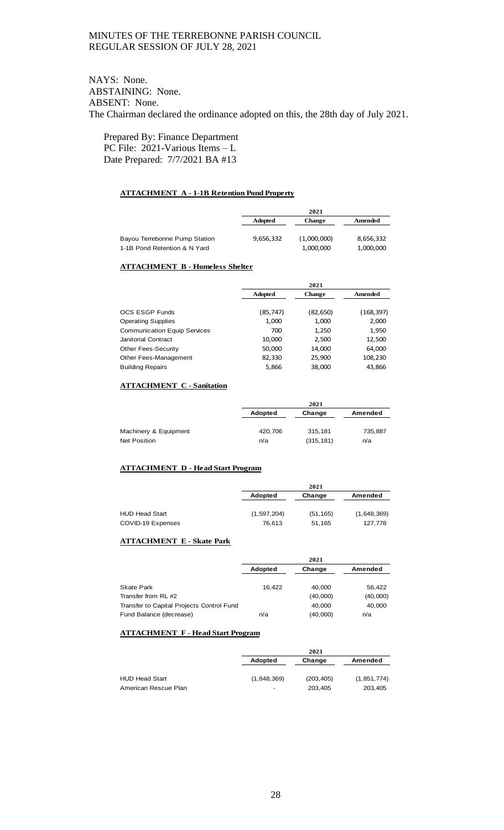NAYS: None. ABSTAINING: None. ABSENT: None. The Chairman declared the ordinance adopted on this, the 28th day of July 2021.

Prepared By: Finance Department PC File: 2021-Various Items – L Date Prepared: 7/7/2021 BA #13

#### **ATTACHMENT A - 1-1B Retention Pond Property**

|                               |                | 2021          |           |  |
|-------------------------------|----------------|---------------|-----------|--|
|                               | <b>Adopted</b> | <b>Change</b> | Amended   |  |
| Bayou Terrebonne Pump Station | 9,656,332      | (1,000,000)   | 8,656,332 |  |
| 1-1B Pond Retention & N Yard  |                | 1,000,000     | 1,000,000 |  |

# **ATTACHMENT B - Homeless Shelter**

|                                     | 2021           |               |           |
|-------------------------------------|----------------|---------------|-----------|
|                                     | <b>Adopted</b> | <b>Change</b> | Amended   |
|                                     |                |               |           |
| <b>OCS ESGP Funds</b>               | (85, 747)      | (82,650)      | (168,397) |
| <b>Operating Supplies</b>           | 1,000          | 1,000         | 2,000     |
| <b>Communication Equip Services</b> | 700            | 1,250         | 1,950     |
| Janitorial Contract                 | 10,000         | 2,500         | 12,500    |
| Other Fees-Security                 | 50,000         | 14,000        | 64,000    |
| Other Fees-Management               | 82,330         | 25,900        | 108,230   |
| <b>Building Repairs</b>             | 5,866          | 38,000        | 43,866    |

## **ATTACHMENT C - Sanitation**

|                       | 2021    |            |         |
|-----------------------|---------|------------|---------|
|                       | Adopted | Change     | Amended |
|                       |         |            |         |
| Machinery & Equipment | 420.706 | 315.181    | 735,887 |
| <b>Net Position</b>   | n/a     | (315, 181) | n/a     |

#### **ATTACHMENT D - Head Start Program**

|                       |             | 2021      |             |  |
|-----------------------|-------------|-----------|-------------|--|
|                       | Adopted     | Change    | Amended     |  |
| <b>HUD Head Start</b> | (1,597,204) | (51, 165) | (1,648,369) |  |
| COVID-19 Expenses     | 76.613      | 51.165    | 127.778     |  |

#### **ATTACHMENT E - Skate Park**

|                                           |         | 2021     |          |
|-------------------------------------------|---------|----------|----------|
|                                           | Adopted | Change   | Amended  |
| Skate Park                                | 16,422  | 40,000   | 56,422   |
| Transfer from RL #2                       |         | (40,000) | (40,000) |
| Transfer to Capital Projects Control Fund |         | 40.000   | 40,000   |
| Fund Balance (decrease)                   | n/a     | (40,000) | n/a      |

#### **ATTACHMENT F - Head Start Program**

| 2021                     |            |               |  |  |  |
|--------------------------|------------|---------------|--|--|--|
| Adopted                  | Change     | Amended       |  |  |  |
|                          |            |               |  |  |  |
| (1,648,369)              | (203, 405) | (1, 851, 774) |  |  |  |
| $\overline{\phantom{a}}$ | 203.405    | 203,405       |  |  |  |
|                          |            |               |  |  |  |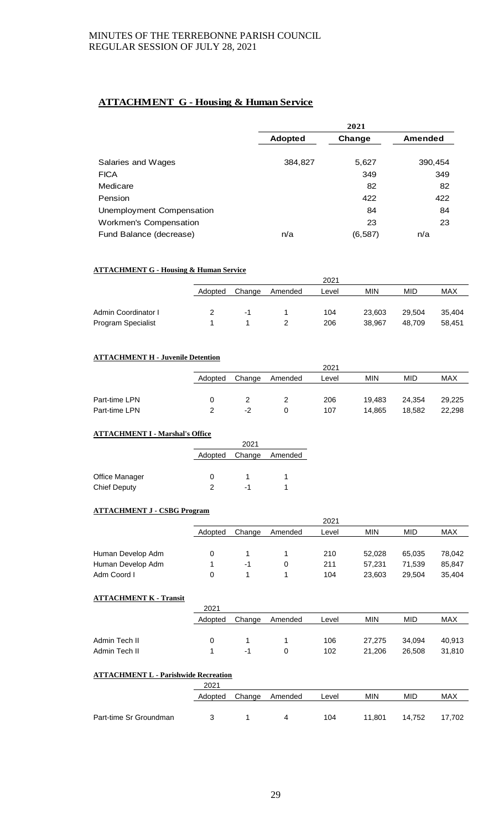# **ATTACHMENT G - Housing & Human Service**

|                           | 2021           |          |         |  |  |  |
|---------------------------|----------------|----------|---------|--|--|--|
|                           | <b>Adopted</b> | Change   | Amended |  |  |  |
|                           |                |          |         |  |  |  |
| Salaries and Wages        | 384,827        | 5,627    | 390,454 |  |  |  |
| <b>FICA</b>               |                | 349      | 349     |  |  |  |
| Medicare                  |                | 82       | 82      |  |  |  |
| Pension                   |                | 422      | 422     |  |  |  |
| Unemployment Compensation |                | 84       | 84      |  |  |  |
| Workmen's Compensation    |                | 23       | 23      |  |  |  |
| Fund Balance (decrease)   | n/a            | (6, 587) | n/a     |  |  |  |

### **ATTACHMENT G - Housing & Human Service**

|                           | 2021                                                |    |  |     |        |        |        |
|---------------------------|-----------------------------------------------------|----|--|-----|--------|--------|--------|
|                           | MID<br>MIN<br>Change<br>Amended<br>Adopted<br>Level |    |  |     |        |        | MAX    |
|                           |                                                     |    |  |     |        |        |        |
| Admin Coordinator I       |                                                     | -1 |  | 104 | 23,603 | 29.504 | 35.404 |
| <b>Program Specialist</b> |                                                     |    |  | 206 | 38.967 | 48.709 | 58.451 |

#### **ATTACHMENT H - Juvenile Detention**

|               |         |        |         | 2021  |            |        |        |
|---------------|---------|--------|---------|-------|------------|--------|--------|
|               | Adopted | Change | Amended | Level | <b>MIN</b> | MID    | MAX    |
|               |         |        |         |       |            |        |        |
| Part-time LPN |         |        |         | 206   | 19.483     | 24.354 | 29.225 |
| Part-time LPN |         | -2     | O       | 107   | 14.865     | 18.582 | 22.298 |

 $2021$ 

# **ATTACHMENT I - Marshal's Office**

|                     | 2021 |                        |  |  |  |
|---------------------|------|------------------------|--|--|--|
|                     |      | Adopted Change Amended |  |  |  |
|                     |      |                        |  |  |  |
| Office Manager      |      |                        |  |  |  |
| <b>Chief Deputy</b> | າ    | -1                     |  |  |  |

# **ATTACHMENT J - CSBG Program**

|                   | 2021    |        |         |       |            |        |            |
|-------------------|---------|--------|---------|-------|------------|--------|------------|
|                   | Adopted | Change | Amended | Level | <b>MIN</b> | MID    | <b>MAX</b> |
|                   |         |        |         |       |            |        |            |
| Human Develop Adm | 0       |        |         | 210   | 52.028     | 65.035 | 78,042     |
| Human Develop Adm |         | -1     |         | 211   | 57.231     | 71.539 | 85,847     |
| Adm Coord I       | 0       |        |         | 104   | 23,603     | 29.504 | 35,404     |

# **ATTACHMENT K - Transit**

|               | 2021     |        |         |       |        |        |        |
|---------------|----------|--------|---------|-------|--------|--------|--------|
|               | Adopted  | Change | Amended | Level | MIN    | MID    | MAX    |
|               |          |        |         |       |        |        |        |
| Admin Tech II | $\Omega$ |        |         | 106   | 27.275 | 34,094 | 40,913 |
| Admin Tech II |          | -1     |         | 102   | 21.206 | 26,508 | 31.810 |

## **ATTACHMENT L - Parishwide Recreation**

|                        | 2021    |                |       |        |        |        |
|------------------------|---------|----------------|-------|--------|--------|--------|
|                        | Adopted | Change Amended | Level | MIN    | MID    | MAX    |
|                        |         |                |       |        |        |        |
| Part-time Sr Groundman |         | 4              | 104   | 11.801 | 14.752 | 17.702 |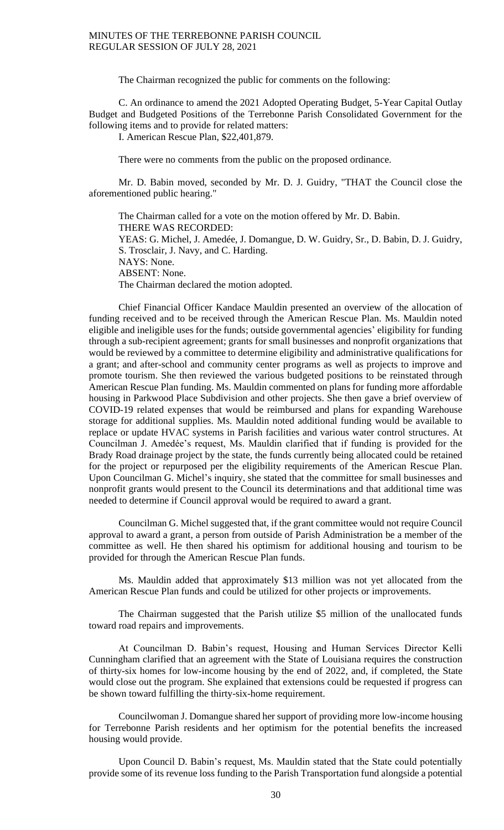The Chairman recognized the public for comments on the following:

C. An ordinance to amend the 2021 Adopted Operating Budget, 5-Year Capital Outlay Budget and Budgeted Positions of the Terrebonne Parish Consolidated Government for the following items and to provide for related matters:

I. American Rescue Plan, \$22,401,879.

There were no comments from the public on the proposed ordinance.

Mr. D. Babin moved, seconded by Mr. D. J. Guidry, "THAT the Council close the aforementioned public hearing."

The Chairman called for a vote on the motion offered by Mr. D. Babin. THERE WAS RECORDED: YEAS: G. Michel, J. Amedée, J. Domangue, D. W. Guidry, Sr., D. Babin, D. J. Guidry, S. Trosclair, J. Navy, and C. Harding. NAYS: None. ABSENT: None. The Chairman declared the motion adopted.

Chief Financial Officer Kandace Mauldin presented an overview of the allocation of funding received and to be received through the American Rescue Plan. Ms. Mauldin noted eligible and ineligible uses for the funds; outside governmental agencies' eligibility for funding through a sub-recipient agreement; grants for small businesses and nonprofit organizations that would be reviewed by a committee to determine eligibility and administrative qualifications for a grant; and after-school and community center programs as well as projects to improve and promote tourism. She then reviewed the various budgeted positions to be reinstated through American Rescue Plan funding. Ms. Mauldin commented on plans for funding more affordable housing in Parkwood Place Subdivision and other projects. She then gave a brief overview of COVID-19 related expenses that would be reimbursed and plans for expanding Warehouse storage for additional supplies. Ms. Mauldin noted additional funding would be available to replace or update HVAC systems in Parish facilities and various water control structures. At Councilman J. Amedée's request, Ms. Mauldin clarified that if funding is provided for the Brady Road drainage project by the state, the funds currently being allocated could be retained for the project or repurposed per the eligibility requirements of the American Rescue Plan. Upon Councilman G. Michel's inquiry, she stated that the committee for small businesses and nonprofit grants would present to the Council its determinations and that additional time was needed to determine if Council approval would be required to award a grant.

Councilman G. Michel suggested that, if the grant committee would not require Council approval to award a grant, a person from outside of Parish Administration be a member of the committee as well. He then shared his optimism for additional housing and tourism to be provided for through the American Rescue Plan funds.

Ms. Mauldin added that approximately \$13 million was not yet allocated from the American Rescue Plan funds and could be utilized for other projects or improvements.

The Chairman suggested that the Parish utilize \$5 million of the unallocated funds toward road repairs and improvements.

At Councilman D. Babin's request, Housing and Human Services Director Kelli Cunningham clarified that an agreement with the State of Louisiana requires the construction of thirty-six homes for low-income housing by the end of 2022, and, if completed, the State would close out the program. She explained that extensions could be requested if progress can be shown toward fulfilling the thirty-six-home requirement.

Councilwoman J. Domangue shared her support of providing more low-income housing for Terrebonne Parish residents and her optimism for the potential benefits the increased housing would provide.

Upon Council D. Babin's request, Ms. Mauldin stated that the State could potentially provide some of its revenue loss funding to the Parish Transportation fund alongside a potential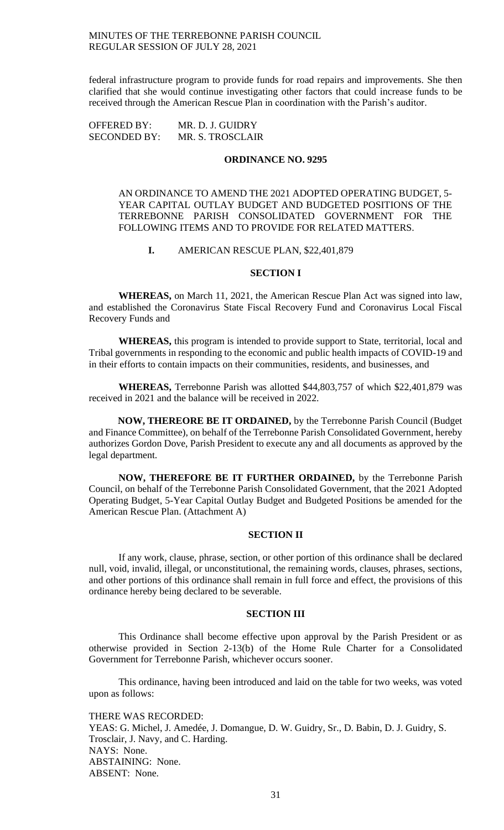federal infrastructure program to provide funds for road repairs and improvements. She then clarified that she would continue investigating other factors that could increase funds to be received through the American Rescue Plan in coordination with the Parish's auditor.

OFFERED BY: MR. D. J. GUIDRY SECONDED BY: MR. S. TROSCLAIR

#### **ORDINANCE NO. 9295**

AN ORDINANCE TO AMEND THE 2021 ADOPTED OPERATING BUDGET, 5- YEAR CAPITAL OUTLAY BUDGET AND BUDGETED POSITIONS OF THE TERREBONNE PARISH CONSOLIDATED GOVERNMENT FOR THE FOLLOWING ITEMS AND TO PROVIDE FOR RELATED MATTERS.

### **I.** AMERICAN RESCUE PLAN, \$22,401,879

#### **SECTION I**

**WHEREAS,** on March 11, 2021, the American Rescue Plan Act was signed into law, and established the Coronavirus State Fiscal Recovery Fund and Coronavirus Local Fiscal Recovery Funds and

**WHEREAS,** this program is intended to provide support to State, territorial, local and Tribal governments in responding to the economic and public health impacts of COVID-19 and in their efforts to contain impacts on their communities, residents, and businesses, and

**WHEREAS,** Terrebonne Parish was allotted \$44,803,757 of which \$22,401,879 was received in 2021 and the balance will be received in 2022.

**NOW, THEREORE BE IT ORDAINED,** by the Terrebonne Parish Council (Budget and Finance Committee), on behalf of the Terrebonne Parish Consolidated Government, hereby authorizes Gordon Dove, Parish President to execute any and all documents as approved by the legal department.

**NOW, THEREFORE BE IT FURTHER ORDAINED,** by the Terrebonne Parish Council, on behalf of the Terrebonne Parish Consolidated Government, that the 2021 Adopted Operating Budget, 5-Year Capital Outlay Budget and Budgeted Positions be amended for the American Rescue Plan. (Attachment A)

# **SECTION II**

If any work, clause, phrase, section, or other portion of this ordinance shall be declared null, void, invalid, illegal, or unconstitutional, the remaining words, clauses, phrases, sections, and other portions of this ordinance shall remain in full force and effect, the provisions of this ordinance hereby being declared to be severable.

#### **SECTION III**

This Ordinance shall become effective upon approval by the Parish President or as otherwise provided in Section 2-13(b) of the Home Rule Charter for a Consolidated Government for Terrebonne Parish, whichever occurs sooner.

This ordinance, having been introduced and laid on the table for two weeks, was voted upon as follows:

THERE WAS RECORDED: YEAS: G. Michel, J. Amedée, J. Domangue, D. W. Guidry, Sr., D. Babin, D. J. Guidry, S. Trosclair, J. Navy, and C. Harding. NAYS: None. ABSTAINING: None. ABSENT: None.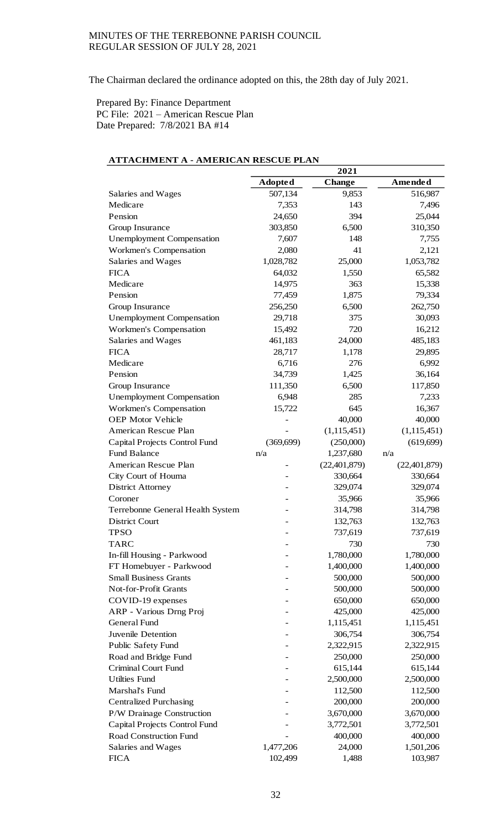The Chairman declared the ordinance adopted on this, the 28th day of July 2021.

Prepared By: Finance Department PC File: 2021 – American Rescue Plan Date Prepared: 7/8/2021 BA #14

# **ATTACHMENT A - AMERICAN RESCUE PLAN**

|                                  | 2021       |                      |                      |  |  |  |
|----------------------------------|------------|----------------------|----------------------|--|--|--|
|                                  | Adopted    | <b>Change</b>        | Amended              |  |  |  |
| Salaries and Wages               | 507,134    | 9,853                | 516,987              |  |  |  |
| Medicare                         | 7,353      | 143                  | 7,496                |  |  |  |
| Pension                          | 24,650     | 394                  | 25,044               |  |  |  |
| Group Insurance                  | 303,850    | 6,500                | 310,350              |  |  |  |
| <b>Unemployment Compensation</b> | 7,607      | 148                  | 7,755                |  |  |  |
| Workmen's Compensation           | 2,080      | 41                   | 2,121                |  |  |  |
| Salaries and Wages               | 1,028,782  | 25,000               | 1,053,782            |  |  |  |
| <b>FICA</b>                      | 64,032     | 1,550                | 65,582               |  |  |  |
| Medicare                         | 14,975     | 363                  | 15,338               |  |  |  |
| Pension                          | 77,459     | 1,875                | 79,334               |  |  |  |
| Group Insurance                  | 256,250    | 6,500                | 262,750              |  |  |  |
| <b>Unemployment Compensation</b> | 29,718     | 375                  | 30,093               |  |  |  |
| Workmen's Compensation           | 15,492     | 720                  | 16,212               |  |  |  |
| Salaries and Wages               | 461,183    | 24,000               | 485,183              |  |  |  |
| <b>FICA</b>                      | 28,717     | 1,178                | 29,895               |  |  |  |
| Medicare                         | 6,716      | 276                  | 6,992                |  |  |  |
| Pension                          | 34,739     | 1,425                | 36,164               |  |  |  |
| Group Insurance                  | 111,350    | 6,500                | 117,850              |  |  |  |
| <b>Unemployment Compensation</b> | 6,948      | 285                  | 7,233                |  |  |  |
| Workmen's Compensation           | 15,722     | 645                  | 16,367               |  |  |  |
| <b>OEP</b> Motor Vehicle         |            | 40,000               | 40,000               |  |  |  |
| American Rescue Plan             |            | (1, 115, 451)        | (1,115,451)          |  |  |  |
| Capital Projects Control Fund    | (369, 699) | (250,000)            | (619, 699)           |  |  |  |
| <b>Fund Balance</b>              | n/a        | 1,237,680            | n/a                  |  |  |  |
| American Rescue Plan             |            | (22, 401, 879)       | (22, 401, 879)       |  |  |  |
| City Court of Houma              |            | 330,664              | 330,664              |  |  |  |
| <b>District Attorney</b>         |            | 329,074              | 329,074              |  |  |  |
| Coroner                          |            | 35,966               | 35,966               |  |  |  |
| Terrebonne General Health System |            | 314,798              | 314,798              |  |  |  |
| <b>District Court</b>            |            | 132,763              | 132,763              |  |  |  |
| <b>TPSO</b>                      |            | 737,619              | 737,619              |  |  |  |
| TARC                             |            | 730                  | 730                  |  |  |  |
| In-fill Housing - Parkwood       |            | 1,780,000            | 1,780,000            |  |  |  |
| FT Homebuyer - Parkwood          |            |                      |                      |  |  |  |
| <b>Small Business Grants</b>     |            | 1,400,000<br>500,000 | 1,400,000<br>500,000 |  |  |  |
| Not-for-Profit Grants            |            |                      |                      |  |  |  |
|                                  |            | 500,000              | 500,000              |  |  |  |
| COVID-19 expenses                |            | 650,000              | 650,000              |  |  |  |
| ARP - Various Drng Proj          |            | 425,000              | 425,000              |  |  |  |
| General Fund                     |            | 1,115,451            | 1,115,451            |  |  |  |
| Juvenile Detention               |            | 306,754              | 306,754              |  |  |  |
| Public Safety Fund               |            | 2,322,915            | 2,322,915            |  |  |  |
| Road and Bridge Fund             |            | 250,000              | 250,000              |  |  |  |
| Criminal Court Fund              |            | 615,144              | 615,144              |  |  |  |
| <b>Utilties Fund</b>             |            | 2,500,000            | 2,500,000            |  |  |  |
| Marshal's Fund                   |            | 112,500              | 112,500              |  |  |  |
| <b>Centralized Purchasing</b>    |            | 200,000              | 200,000              |  |  |  |
| P/W Drainage Construction        |            | 3,670,000            | 3,670,000            |  |  |  |
| Capital Projects Control Fund    |            | 3,772,501            | 3,772,501            |  |  |  |
| Road Construction Fund           |            | 400,000              | 400,000              |  |  |  |
| Salaries and Wages               | 1,477,206  | 24,000               | 1,501,206            |  |  |  |
| <b>FICA</b>                      | 102,499    | 1,488                | 103,987              |  |  |  |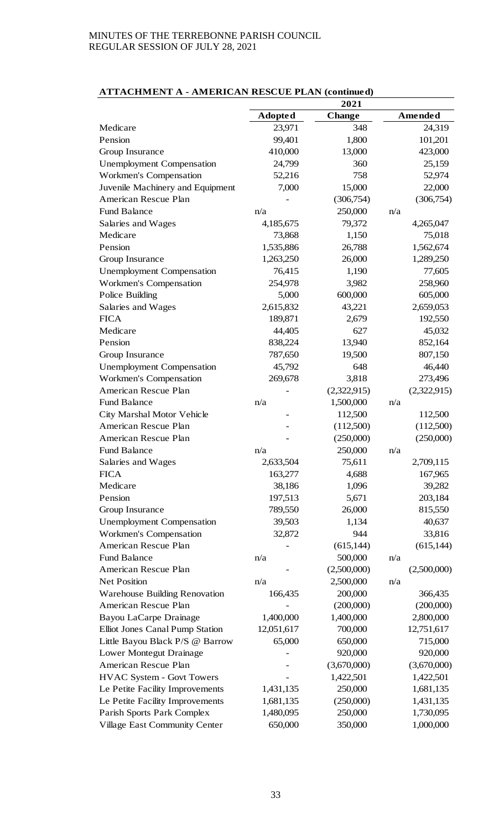|                                      | 2021           |               |             |  |  |
|--------------------------------------|----------------|---------------|-------------|--|--|
|                                      | <b>Adopted</b> | <b>Change</b> | Amended     |  |  |
| Medicare                             | 23,971         | 348           | 24,319      |  |  |
| Pension                              | 99,401         | 1,800         | 101,201     |  |  |
| Group Insurance                      | 410,000        | 13,000        | 423,000     |  |  |
| <b>Unemployment Compensation</b>     | 24,799         | 360           | 25,159      |  |  |
| Workmen's Compensation               | 52,216         | 758           | 52,974      |  |  |
| Juvenile Machinery and Equipment     | 7,000          | 15,000        | 22,000      |  |  |
| American Rescue Plan                 |                | (306,754)     | (306, 754)  |  |  |
| <b>Fund Balance</b>                  | n/a            | 250,000       | n/a         |  |  |
| Salaries and Wages                   | 4,185,675      | 79,372        | 4,265,047   |  |  |
| Medicare                             | 73,868         | 1,150         | 75,018      |  |  |
| Pension                              | 1,535,886      | 26,788        | 1,562,674   |  |  |
| Group Insurance                      | 1,263,250      | 26,000        | 1,289,250   |  |  |
| <b>Unemployment Compensation</b>     | 76,415         | 1,190         | 77,605      |  |  |
| Workmen's Compensation               | 254,978        | 3,982         | 258,960     |  |  |
| Police Building                      | 5,000          | 600,000       | 605,000     |  |  |
| Salaries and Wages                   | 2,615,832      | 43,221        | 2,659,053   |  |  |
| <b>FICA</b>                          | 189,871        | 2,679         | 192,550     |  |  |
| Medicare                             | 44,405         | 627           | 45,032      |  |  |
| Pension                              | 838,224        | 13,940        | 852,164     |  |  |
| Group Insurance                      | 787,650        | 19,500        | 807,150     |  |  |
| <b>Unemployment Compensation</b>     | 45,792         | 648           | 46,440      |  |  |
| Workmen's Compensation               | 269,678        | 3,818         | 273,496     |  |  |
| American Rescue Plan                 |                | (2,322,915)   | (2,322,915) |  |  |
| <b>Fund Balance</b>                  | n/a            | 1,500,000     | n/a         |  |  |
| City Marshal Motor Vehicle           |                | 112,500       | 112,500     |  |  |
| American Rescue Plan                 |                | (112,500)     | (112,500)   |  |  |
| American Rescue Plan                 |                | (250,000)     | (250,000)   |  |  |
| <b>Fund Balance</b>                  | n/a            | 250,000       | n/a         |  |  |
| Salaries and Wages                   | 2,633,504      | 75,611        | 2,709,115   |  |  |
| <b>FICA</b>                          | 163,277        | 4,688         | 167,965     |  |  |
| Medicare                             | 38,186         | 1,096         | 39,282      |  |  |
| Pension                              | 197,513        | 5,671         | 203,184     |  |  |
| Group Insurance                      | 789,550        | 26,000        | 815,550     |  |  |
| <b>Unemployment Compensation</b>     | 39,503         | 1,134         | 40,637      |  |  |
| Workmen's Compensation               | 32,872         | 944           | 33,816      |  |  |
| American Rescue Plan                 |                | (615, 144)    | (615, 144)  |  |  |
| Fund Balance                         | n/a            | 500,000       | n/a         |  |  |
| American Rescue Plan                 |                | (2,500,000)   | (2,500,000) |  |  |
| Net Position                         | n/a            | 2,500,000     | n/a         |  |  |
| <b>Warehouse Building Renovation</b> | 166,435        | 200,000       | 366,435     |  |  |
| American Rescue Plan                 |                | (200,000)     | (200,000)   |  |  |
| Bayou LaCarpe Drainage               | 1,400,000      | 1,400,000     | 2,800,000   |  |  |
| Elliot Jones Canal Pump Station      | 12,051,617     | 700,000       | 12,751,617  |  |  |
| Little Bayou Black P/S @ Barrow      | 65,000         | 650,000       | 715,000     |  |  |
| Lower Montegut Drainage              |                | 920,000       | 920,000     |  |  |
| American Rescue Plan                 |                | (3,670,000)   | (3,670,000) |  |  |
| <b>HVAC System - Govt Towers</b>     |                | 1,422,501     | 1,422,501   |  |  |
| Le Petite Facility Improvements      |                |               |             |  |  |
|                                      | 1,431,135      | 250,000       | 1,681,135   |  |  |
| Le Petite Facility Improvements      | 1,681,135      | (250,000)     | 1,431,135   |  |  |
| Parish Sports Park Complex           | 1,480,095      | 250,000       | 1,730,095   |  |  |
| Village East Community Center        | 650,000        | 350,000       | 1,000,000   |  |  |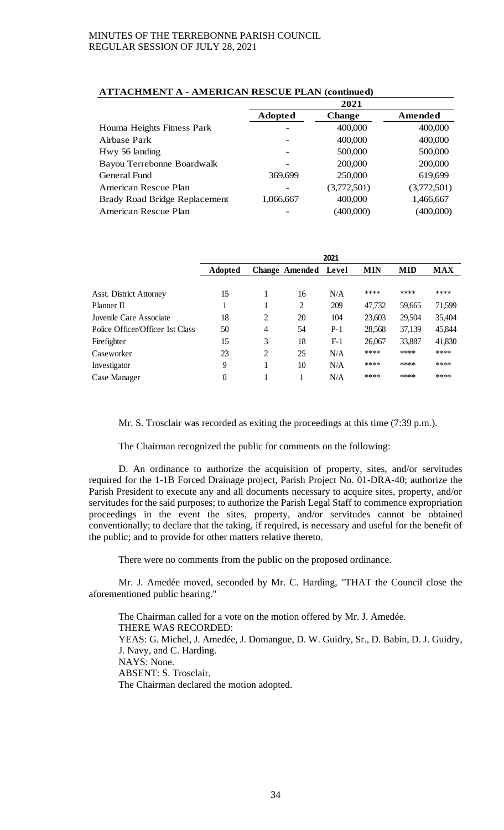|                                      | 2021           |               |             |  |
|--------------------------------------|----------------|---------------|-------------|--|
|                                      | <b>Adopted</b> | <b>Change</b> | Amended     |  |
| Houma Heights Fitness Park           |                | 400,000       | 400,000     |  |
| Airbase Park                         |                | 400,000       | 400,000     |  |
| Hwy 56 landing                       |                | 500,000       | 500,000     |  |
| Bayou Terrebonne Boardwalk           |                | 200,000       | 200,000     |  |
| General Fund                         | 369,699        | 250,000       | 619,699     |  |
| American Rescue Plan                 |                | (3,772,501)   | (3,772,501) |  |
| <b>Brady Road Bridge Replacement</b> | 1,066,667      | 400,000       | 1,466,667   |  |
| American Rescue Plan                 |                | (400,000)     | (400,000)   |  |

#### **ATTACHMENT A - AMERICAN RESCUE PLAN (continued)**

|                                  | 2021           |   |                       |       |            |            |            |
|----------------------------------|----------------|---|-----------------------|-------|------------|------------|------------|
|                                  | <b>Adopted</b> |   | <b>Change Amended</b> | Level | <b>MIN</b> | <b>MID</b> | <b>MAX</b> |
| <b>Asst. District Attorney</b>   | 15             |   | 16                    | N/A   | ****       | ****       | ****       |
| Planner II                       |                |   | $\overline{2}$        | 209   | 47,732     | 59,665     | 71,599     |
| Juvenile Care Associate          | 18             | 2 | 20                    | 104   | 23,603     | 29,504     | 35,404     |
| Police Officer/Officer 1st Class | 50             | 4 | 54                    | $P-1$ | 28,568     | 37,139     | 45,844     |
| Firefighter                      | 15             | 3 | 18                    | $F-1$ | 26,067     | 33,887     | 41,830     |
| Caseworker                       | 23             | 2 | 25                    | N/A   | ****       | ****       | ****       |
| Investigator                     | 9              |   | 10                    | N/A   | ****       | ****       | ****       |
| Case Manager                     | 0              |   |                       | N/A   | ****       | ****       | ****       |

Mr. S. Trosclair was recorded as exiting the proceedings at this time (7:39 p.m.).

The Chairman recognized the public for comments on the following:

D. An ordinance to authorize the acquisition of property, sites, and/or servitudes required for the 1-1B Forced Drainage project, Parish Project No. 01-DRA-40; authorize the Parish President to execute any and all documents necessary to acquire sites, property, and/or servitudes for the said purposes; to authorize the Parish Legal Staff to commence expropriation proceedings in the event the sites, property, and/or servitudes cannot be obtained conventionally; to declare that the taking, if required, is necessary and useful for the benefit of the public; and to provide for other matters relative thereto.

There were no comments from the public on the proposed ordinance.

Mr. J. Amedée moved, seconded by Mr. C. Harding, "THAT the Council close the aforementioned public hearing."

The Chairman called for a vote on the motion offered by Mr. J. Amedée. THERE WAS RECORDED: YEAS: G. Michel, J. Amedée, J. Domangue, D. W. Guidry, Sr., D. Babin, D. J. Guidry, J. Navy, and C. Harding. NAYS: None. ABSENT: S. Trosclair. The Chairman declared the motion adopted.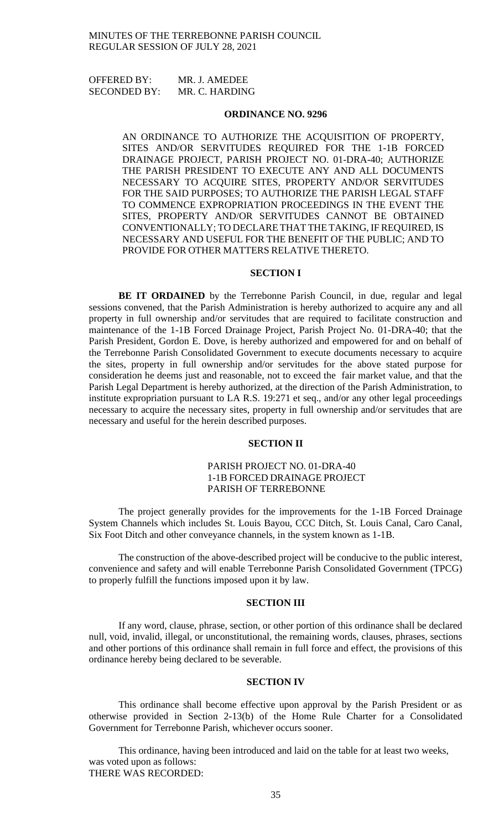| <b>OFFERED BY:</b>  | MR. J. AMEDEE  |
|---------------------|----------------|
| <b>SECONDED BY:</b> | MR. C. HARDING |

## **ORDINANCE NO. 9296**

AN ORDINANCE TO AUTHORIZE THE ACQUISITION OF PROPERTY, SITES AND/OR SERVITUDES REQUIRED FOR THE 1-1B FORCED DRAINAGE PROJECT, PARISH PROJECT NO. 01-DRA-40; AUTHORIZE THE PARISH PRESIDENT TO EXECUTE ANY AND ALL DOCUMENTS NECESSARY TO ACQUIRE SITES, PROPERTY AND/OR SERVITUDES FOR THE SAID PURPOSES; TO AUTHORIZE THE PARISH LEGAL STAFF TO COMMENCE EXPROPRIATION PROCEEDINGS IN THE EVENT THE SITES, PROPERTY AND/OR SERVITUDES CANNOT BE OBTAINED CONVENTIONALLY; TO DECLARE THAT THE TAKING, IFREQUIRED, IS NECESSARY AND USEFUL FOR THE BENEFIT OF THE PUBLIC; AND TO PROVIDE FOR OTHER MATTERS RELATIVE THERETO.

# **SECTION I**

**BE IT ORDAINED** by the Terrebonne Parish Council, in due, regular and legal sessions convened, that the Parish Administration is hereby authorized to acquire any and all property in full ownership and/or servitudes that are required to facilitate construction and maintenance of the 1-1B Forced Drainage Project, Parish Project No. 01-DRA-40; that the Parish President, Gordon E. Dove, is hereby authorized and empowered for and on behalf of the Terrebonne Parish Consolidated Government to execute documents necessary to acquire the sites, property in full ownership and/or servitudes for the above stated purpose for consideration he deems just and reasonable, not to exceed the fair market value, and that the Parish Legal Department is hereby authorized, at the direction of the Parish Administration, to institute expropriation pursuant to LA R.S. 19:271 et seq., and/or any other legal proceedings necessary to acquire the necessary sites, property in full ownership and/or servitudes that are necessary and useful for the herein described purposes.

### **SECTION II**

#### PARISH PROJECT NO. 01-DRA-40 1-1B FORCED DRAINAGE PROJECT PARISH OF TERREBONNE

The project generally provides for the improvements for the 1-1B Forced Drainage System Channels which includes St. Louis Bayou, CCC Ditch, St. Louis Canal, Caro Canal, Six Foot Ditch and other conveyance channels, in the system known as 1-1B.

The construction of the above-described project will be conducive to the public interest, convenience and safety and will enable Terrebonne Parish Consolidated Government (TPCG) to properly fulfill the functions imposed upon it by law.

#### **SECTION III**

If any word, clause, phrase, section, or other portion of this ordinance shall be declared null, void, invalid, illegal, or unconstitutional, the remaining words, clauses, phrases, sections and other portions of this ordinance shall remain in full force and effect, the provisions of this ordinance hereby being declared to be severable.

# **SECTION IV**

This ordinance shall become effective upon approval by the Parish President or as otherwise provided in Section 2-13(b) of the Home Rule Charter for a Consolidated Government for Terrebonne Parish, whichever occurs sooner.

This ordinance, having been introduced and laid on the table for at least two weeks, was voted upon as follows: THERE WAS RECORDED: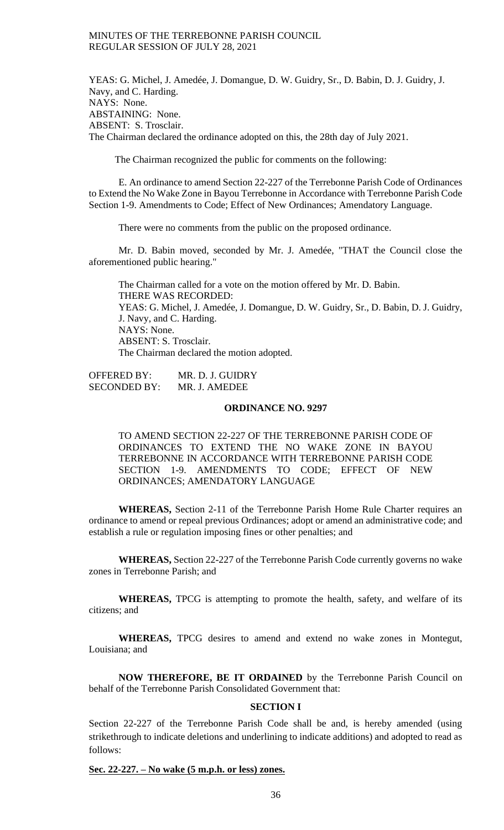YEAS: G. Michel, J. Amedée, J. Domangue, D. W. Guidry, Sr., D. Babin, D. J. Guidry, J. Navy, and C. Harding. NAYS: None. ABSTAINING: None. ABSENT: S. Trosclair. The Chairman declared the ordinance adopted on this, the 28th day of July 2021.

The Chairman recognized the public for comments on the following:

E. An ordinance to amend Section 22-227 of the Terrebonne Parish Code of Ordinances to Extend the No Wake Zone in Bayou Terrebonne in Accordance with Terrebonne Parish Code Section 1-9. Amendments to Code; Effect of New Ordinances; Amendatory Language.

There were no comments from the public on the proposed ordinance.

Mr. D. Babin moved, seconded by Mr. J. Amedée, "THAT the Council close the aforementioned public hearing."

The Chairman called for a vote on the motion offered by Mr. D. Babin. THERE WAS RECORDED: YEAS: G. Michel, J. Amedée, J. Domangue, D. W. Guidry, Sr., D. Babin, D. J. Guidry, J. Navy, and C. Harding. NAYS: None. ABSENT: S. Trosclair. The Chairman declared the motion adopted.

OFFERED BY: MR. D. J. GUIDRY SECONDED BY: MR. J. AMEDEE

# **ORDINANCE NO. 9297**

TO AMEND SECTION 22-227 OF THE TERREBONNE PARISH CODE OF ORDINANCES TO EXTEND THE NO WAKE ZONE IN BAYOU TERREBONNE IN ACCORDANCE WITH TERREBONNE PARISH CODE SECTION 1-9. AMENDMENTS TO CODE; EFFECT OF NEW ORDINANCES; AMENDATORY LANGUAGE

**WHEREAS,** Section 2-11 of the Terrebonne Parish Home Rule Charter requires an ordinance to amend or repeal previous Ordinances; adopt or amend an administrative code; and establish a rule or regulation imposing fines or other penalties; and

**WHEREAS,** Section 22-227 of the Terrebonne Parish Code currently governs no wake zones in Terrebonne Parish; and

**WHEREAS,** TPCG is attempting to promote the health, safety, and welfare of its citizens; and

**WHEREAS,** TPCG desires to amend and extend no wake zones in Montegut, Louisiana; and

**NOW THEREFORE, BE IT ORDAINED** by the Terrebonne Parish Council on behalf of the Terrebonne Parish Consolidated Government that:

# **SECTION I**

Section 22-227 of the Terrebonne Parish Code shall be and, is hereby amended (using strikethrough to indicate deletions and underlining to indicate additions) and adopted to read as follows:

**Sec. 22-227. – No wake (5 m.p.h. or less) zones.**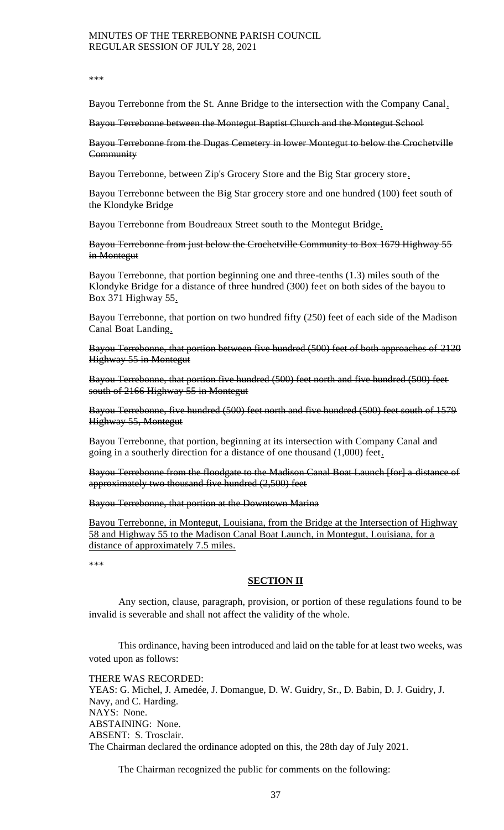\*\*\*

Bayou Terrebonne from the St. Anne Bridge to the intersection with the Company Canal.

#### Bayou Terrebonne between the Montegut Baptist Church and the Montegut School

### Bayou Terrebonne from the Dugas Cemetery in lower Montegut to below the Crochetville **Community**

Bayou Terrebonne, between Zip's Grocery Store and the Big Star grocery store.

Bayou Terrebonne between the Big Star grocery store and one hundred (100) feet south of the Klondyke Bridge

Bayou Terrebonne from Boudreaux Street south to the Montegut Bridge.

### Bayou Terrebonne from just below the Crochetville Community to Box 1679 Highway 55 in Montegut

Bayou Terrebonne, that portion beginning one and three-tenths (1.3) miles south of the Klondyke Bridge for a distance of three hundred (300) feet on both sides of the bayou to Box 371 Highway 55.

Bayou Terrebonne, that portion on two hundred fifty (250) feet of each side of the Madison Canal Boat Landing.

Bayou Terrebonne, that portion between five hundred (500) feet of both approaches of 2120 Highway 55 in Montegut

Bayou Terrebonne, that portion five hundred (500) feet north and five hundred (500) feet south of 2166 Highway 55 in Montegut

Bayou Terrebonne, five hundred (500) feet north and five hundred (500) feet south of 1579 Highway 55, Montegut

Bayou Terrebonne, that portion, beginning at its intersection with Company Canal and going in a southerly direction for a distance of one thousand (1,000) feet.

Bayou Terrebonne from the floodgate to the Madison Canal Boat Launch [for] a distance of approximately two thousand five hundred (2,500) feet

#### Bayou Terrebonne, that portion at the Downtown Marina

Bayou Terrebonne, in Montegut, Louisiana, from the Bridge at the Intersection of Highway 58 and Highway 55 to the Madison Canal Boat Launch, in Montegut, Louisiana, for a distance of approximately 7.5 miles.

\*\*\*

#### **SECTION II**

Any section, clause, paragraph, provision, or portion of these regulations found to be invalid is severable and shall not affect the validity of the whole.

This ordinance, having been introduced and laid on the table for at least two weeks, was voted upon as follows:

THERE WAS RECORDED: YEAS: G. Michel, J. Amedée, J. Domangue, D. W. Guidry, Sr., D. Babin, D. J. Guidry, J. Navy, and C. Harding. NAYS: None. ABSTAINING: None. ABSENT: S. Trosclair. The Chairman declared the ordinance adopted on this, the 28th day of July 2021.

The Chairman recognized the public for comments on the following: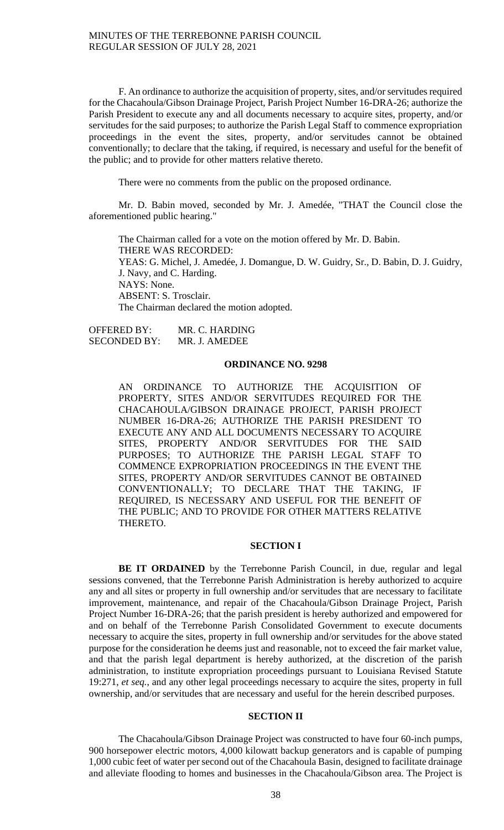F. An ordinance to authorize the acquisition of property, sites, and/or servitudes required for the Chacahoula/Gibson Drainage Project, Parish Project Number 16-DRA-26; authorize the Parish President to execute any and all documents necessary to acquire sites, property, and/or servitudes for the said purposes; to authorize the Parish Legal Staff to commence expropriation proceedings in the event the sites, property, and/or servitudes cannot be obtained conventionally; to declare that the taking, if required, is necessary and useful for the benefit of the public; and to provide for other matters relative thereto.

There were no comments from the public on the proposed ordinance.

Mr. D. Babin moved, seconded by Mr. J. Amedée, "THAT the Council close the aforementioned public hearing."

The Chairman called for a vote on the motion offered by Mr. D. Babin. THERE WAS RECORDED: YEAS: G. Michel, J. Amedée, J. Domangue, D. W. Guidry, Sr., D. Babin, D. J. Guidry, J. Navy, and C. Harding. NAYS: None. ABSENT: S. Trosclair. The Chairman declared the motion adopted.

OFFERED BY: MR. C. HARDING SECONDED BY: MR. J. AMEDEE

## **ORDINANCE NO. 9298**

AN ORDINANCE TO AUTHORIZE THE ACQUISITION OF PROPERTY, SITES AND/OR SERVITUDES REQUIRED FOR THE CHACAHOULA/GIBSON DRAINAGE PROJECT, PARISH PROJECT NUMBER 16-DRA-26; AUTHORIZE THE PARISH PRESIDENT TO EXECUTE ANY AND ALL DOCUMENTS NECESSARY TO ACQUIRE SITES, PROPERTY AND/OR SERVITUDES FOR THE SAID PURPOSES; TO AUTHORIZE THE PARISH LEGAL STAFF TO COMMENCE EXPROPRIATION PROCEEDINGS IN THE EVENT THE SITES, PROPERTY AND/OR SERVITUDES CANNOT BE OBTAINED CONVENTIONALLY; TO DECLARE THAT THE TAKING, IF REQUIRED, IS NECESSARY AND USEFUL FOR THE BENEFIT OF THE PUBLIC; AND TO PROVIDE FOR OTHER MATTERS RELATIVE THERETO.

#### **SECTION I**

BE IT ORDAINED by the Terrebonne Parish Council, in due, regular and legal sessions convened, that the Terrebonne Parish Administration is hereby authorized to acquire any and all sites or property in full ownership and/or servitudes that are necessary to facilitate improvement, maintenance, and repair of the Chacahoula/Gibson Drainage Project, Parish Project Number 16-DRA-26; that the parish president is hereby authorized and empowered for and on behalf of the Terrebonne Parish Consolidated Government to execute documents necessary to acquire the sites, property in full ownership and/or servitudes for the above stated purpose for the consideration he deems just and reasonable, not to exceed the fair market value, and that the parish legal department is hereby authorized, at the discretion of the parish administration, to institute expropriation proceedings pursuant to Louisiana Revised Statute 19:271, *et seq.*, and any other legal proceedings necessary to acquire the sites, property in full ownership, and/or servitudes that are necessary and useful for the herein described purposes.

# **SECTION II**

The Chacahoula/Gibson Drainage Project was constructed to have four 60-inch pumps, 900 horsepower electric motors, 4,000 kilowatt backup generators and is capable of pumping 1,000 cubic feet of water per second out of the Chacahoula Basin, designed to facilitate drainage and alleviate flooding to homes and businesses in the Chacahoula/Gibson area. The Project is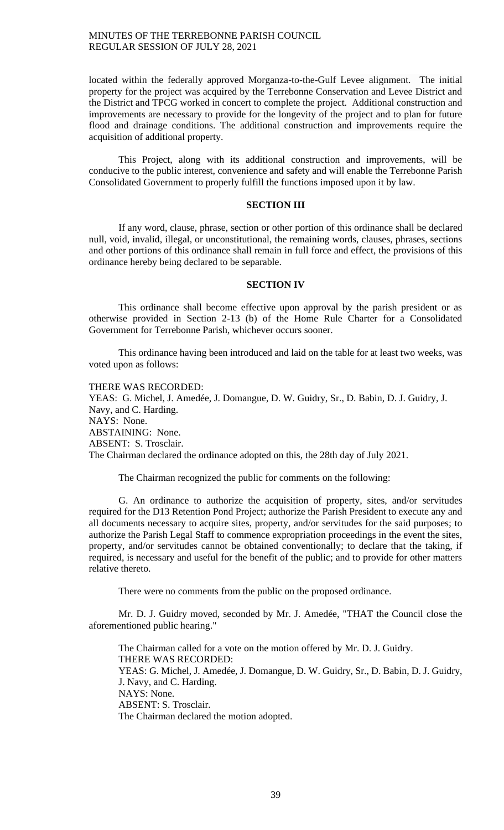located within the federally approved Morganza-to-the-Gulf Levee alignment. The initial property for the project was acquired by the Terrebonne Conservation and Levee District and the District and TPCG worked in concert to complete the project. Additional construction and improvements are necessary to provide for the longevity of the project and to plan for future flood and drainage conditions. The additional construction and improvements require the acquisition of additional property.

This Project, along with its additional construction and improvements, will be conducive to the public interest, convenience and safety and will enable the Terrebonne Parish Consolidated Government to properly fulfill the functions imposed upon it by law.

## **SECTION III**

If any word, clause, phrase, section or other portion of this ordinance shall be declared null, void, invalid, illegal, or unconstitutional, the remaining words, clauses, phrases, sections and other portions of this ordinance shall remain in full force and effect, the provisions of this ordinance hereby being declared to be separable.

### **SECTION IV**

This ordinance shall become effective upon approval by the parish president or as otherwise provided in Section 2-13 (b) of the Home Rule Charter for a Consolidated Government for Terrebonne Parish, whichever occurs sooner.

This ordinance having been introduced and laid on the table for at least two weeks, was voted upon as follows:

THERE WAS RECORDED: YEAS: G. Michel, J. Amedée, J. Domangue, D. W. Guidry, Sr., D. Babin, D. J. Guidry, J. Navy, and C. Harding. NAYS: None. ABSTAINING: None. ABSENT: S. Trosclair. The Chairman declared the ordinance adopted on this, the 28th day of July 2021.

The Chairman recognized the public for comments on the following:

G. An ordinance to authorize the acquisition of property, sites, and/or servitudes required for the D13 Retention Pond Project; authorize the Parish President to execute any and all documents necessary to acquire sites, property, and/or servitudes for the said purposes; to authorize the Parish Legal Staff to commence expropriation proceedings in the event the sites, property, and/or servitudes cannot be obtained conventionally; to declare that the taking, if required, is necessary and useful for the benefit of the public; and to provide for other matters relative thereto.

There were no comments from the public on the proposed ordinance.

Mr. D. J. Guidry moved, seconded by Mr. J. Amedée, "THAT the Council close the aforementioned public hearing."

The Chairman called for a vote on the motion offered by Mr. D. J. Guidry. THERE WAS RECORDED: YEAS: G. Michel, J. Amedée, J. Domangue, D. W. Guidry, Sr., D. Babin, D. J. Guidry, J. Navy, and C. Harding. NAYS: None. ABSENT: S. Trosclair. The Chairman declared the motion adopted.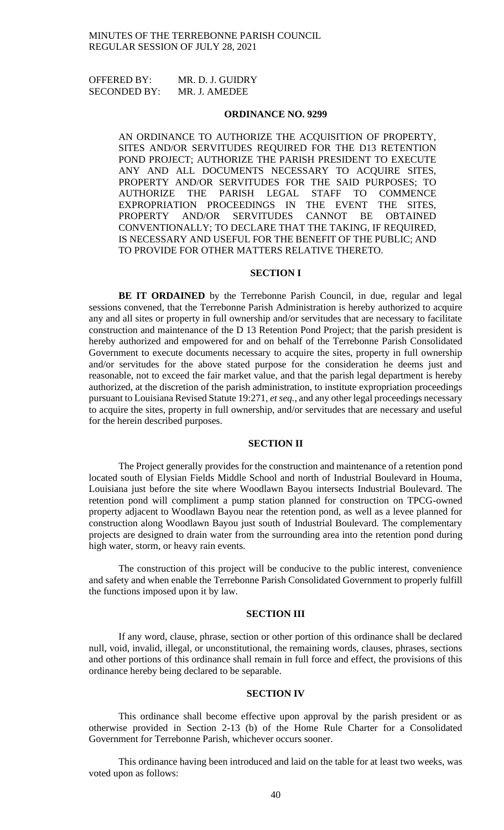OFFERED BY: MR. D. J. GUIDRY SECONDED BY: MR. J. AMEDEE

### **ORDINANCE NO. 9299**

AN ORDINANCE TO AUTHORIZE THE ACQUISITION OF PROPERTY, SITES AND/OR SERVITUDES REQUIRED FOR THE D13 RETENTION POND PROJECT; AUTHORIZE THE PARISH PRESIDENT TO EXECUTE ANY AND ALL DOCUMENTS NECESSARY TO ACQUIRE SITES, PROPERTY AND/OR SERVITUDES FOR THE SAID PURPOSES; TO AUTHORIZE THE PARISH LEGAL STAFF TO COMMENCE EXPROPRIATION PROCEEDINGS IN THE EVENT THE SITES, PROPERTY AND/OR SERVITUDES CANNOT BE OBTAINED CONVENTIONALLY; TO DECLARE THAT THE TAKING, IF REQUIRED, IS NECESSARY AND USEFUL FOR THE BENEFIT OF THE PUBLIC; AND TO PROVIDE FOR OTHER MATTERS RELATIVE THERETO.

# **SECTION I**

**BE IT ORDAINED** by the Terrebonne Parish Council, in due, regular and legal sessions convened, that the Terrebonne Parish Administration is hereby authorized to acquire any and all sites or property in full ownership and/or servitudes that are necessary to facilitate construction and maintenance of the D 13 Retention Pond Project; that the parish president is hereby authorized and empowered for and on behalf of the Terrebonne Parish Consolidated Government to execute documents necessary to acquire the sites, property in full ownership and/or servitudes for the above stated purpose for the consideration he deems just and reasonable, not to exceed the fair market value, and that the parish legal department is hereby authorized, at the discretion of the parish administration, to institute expropriation proceedings pursuant to Louisiana Revised Statute 19:271, *et seq.*, and any other legal proceedings necessary to acquire the sites, property in full ownership, and/or servitudes that are necessary and useful for the herein described purposes.

### **SECTION II**

The Project generally provides for the construction and maintenance of a retention pond located south of Elysian Fields Middle School and north of Industrial Boulevard in Houma, Louisiana just before the site where Woodlawn Bayou intersects Industrial Boulevard. The retention pond will compliment a pump station planned for construction on TPCG-owned property adjacent to Woodlawn Bayou near the retention pond, as well as a levee planned for construction along Woodlawn Bayou just south of Industrial Boulevard. The complementary projects are designed to drain water from the surrounding area into the retention pond during high water, storm, or heavy rain events.

The construction of this project will be conducive to the public interest, convenience and safety and when enable the Terrebonne Parish Consolidated Government to properly fulfill the functions imposed upon it by law.

#### **SECTION III**

If any word, clause, phrase, section or other portion of this ordinance shall be declared null, void, invalid, illegal, or unconstitutional, the remaining words, clauses, phrases, sections and other portions of this ordinance shall remain in full force and effect, the provisions of this ordinance hereby being declared to be separable.

### **SECTION IV**

This ordinance shall become effective upon approval by the parish president or as otherwise provided in Section 2-13 (b) of the Home Rule Charter for a Consolidated Government for Terrebonne Parish, whichever occurs sooner.

This ordinance having been introduced and laid on the table for at least two weeks, was voted upon as follows: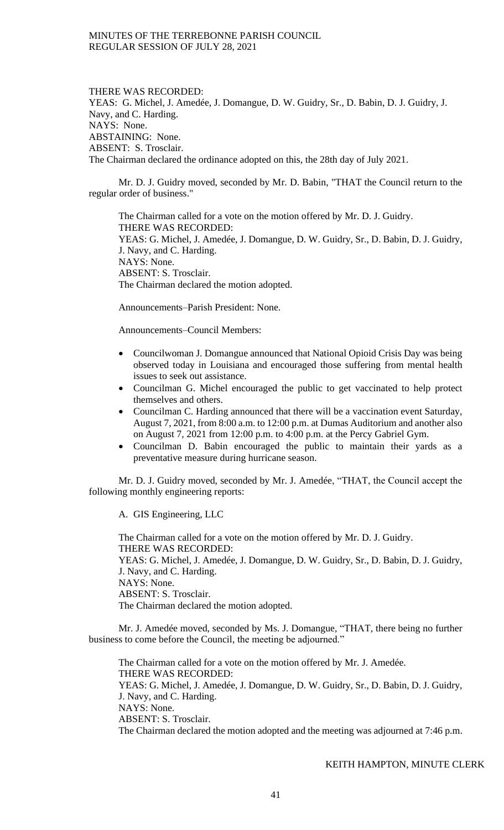THERE WAS RECORDED: YEAS: G. Michel, J. Amedée, J. Domangue, D. W. Guidry, Sr., D. Babin, D. J. Guidry, J. Navy, and C. Harding. NAYS: None. ABSTAINING: None. ABSENT: S. Trosclair. The Chairman declared the ordinance adopted on this, the 28th day of July 2021.

Mr. D. J. Guidry moved, seconded by Mr. D. Babin, "THAT the Council return to the regular order of business."

The Chairman called for a vote on the motion offered by Mr. D. J. Guidry. THERE WAS RECORDED: YEAS: G. Michel, J. Amedée, J. Domangue, D. W. Guidry, Sr., D. Babin, D. J. Guidry, J. Navy, and C. Harding. NAYS: None. ABSENT: S. Trosclair. The Chairman declared the motion adopted.

Announcements–Parish President: None.

Announcements–Council Members:

- Councilwoman J. Domangue announced that National Opioid Crisis Day was being observed today in Louisiana and encouraged those suffering from mental health issues to seek out assistance.
- Councilman G. Michel encouraged the public to get vaccinated to help protect themselves and others.
- Councilman C. Harding announced that there will be a vaccination event Saturday, August 7, 2021, from 8:00 a.m. to 12:00 p.m. at Dumas Auditorium and another also on August 7, 2021 from 12:00 p.m. to 4:00 p.m. at the Percy Gabriel Gym.
- Councilman D. Babin encouraged the public to maintain their yards as a preventative measure during hurricane season.

Mr. D. J. Guidry moved, seconded by Mr. J. Amedée, "THAT, the Council accept the following monthly engineering reports:

A. GIS Engineering, LLC

The Chairman called for a vote on the motion offered by Mr. D. J. Guidry. THERE WAS RECORDED: YEAS: G. Michel, J. Amedée, J. Domangue, D. W. Guidry, Sr., D. Babin, D. J. Guidry, J. Navy, and C. Harding. NAYS: None. ABSENT: S. Trosclair. The Chairman declared the motion adopted.

Mr. J. Amedée moved, seconded by Ms. J. Domangue, "THAT, there being no further business to come before the Council, the meeting be adjourned."

The Chairman called for a vote on the motion offered by Mr. J. Amedée. THERE WAS RECORDED: YEAS: G. Michel, J. Amedée, J. Domangue, D. W. Guidry, Sr., D. Babin, D. J. Guidry, J. Navy, and C. Harding. NAYS: None. ABSENT: S. Trosclair. The Chairman declared the motion adopted and the meeting was adjourned at 7:46 p.m.